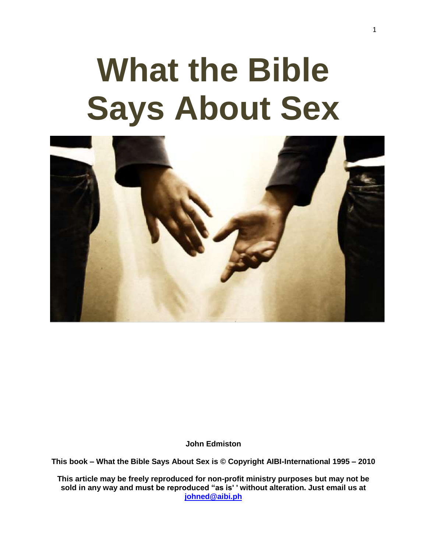# **What the Bible Says About Sex**



**John Edmiston**

**This book – What the Bible Says About Sex is © Copyright AIBI-International 1995 – 2010**

**This article may be freely reproduced for non-profit ministry purposes but may not be sold in any way and must be reproduced "as is' ' without alteration. Just email us at [johned@aibi.ph](mailto:johned@aibi.ph)**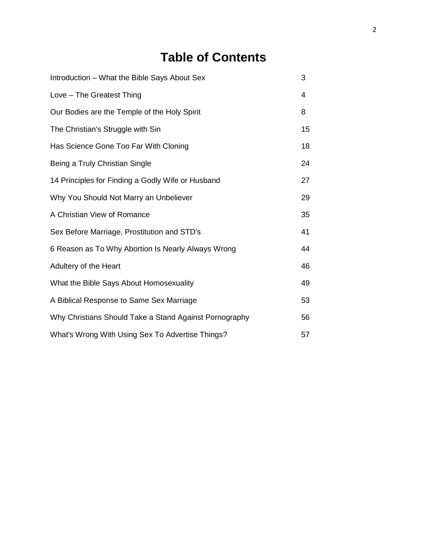# **Table of Contents**

| Introduction - What the Bible Says About Sex           | 3  |
|--------------------------------------------------------|----|
| Love - The Greatest Thing                              | 4  |
| Our Bodies are the Temple of the Holy Spirit           | 8  |
| The Christian's Struggle with Sin                      | 15 |
| Has Science Gone Too Far With Cloning                  | 18 |
| Being a Truly Christian Single                         | 24 |
| 14 Principles for Finding a Godly Wife or Husband      | 27 |
| Why You Should Not Marry an Unbeliever                 | 29 |
| A Christian View of Romance                            | 35 |
| Sex Before Marriage, Prostitution and STD's            | 41 |
| 6 Reason as To Why Abortion Is Nearly Always Wrong     | 44 |
| Adultery of the Heart                                  | 46 |
| What the Bible Says About Homosexuality                | 49 |
| A Biblical Response to Same Sex Marriage               | 53 |
| Why Christians Should Take a Stand Against Pornography | 56 |
| What's Wrong With Using Sex To Advertise Things?       | 57 |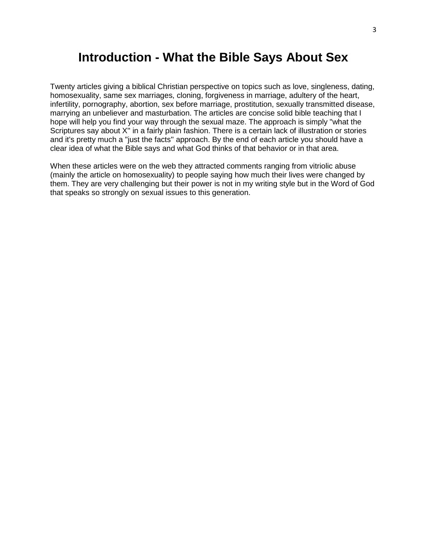# **Introduction - What the Bible Says About Sex**

Twenty articles giving a biblical Christian perspective on topics such as love, singleness, dating, homosexuality, same sex marriages, cloning, forgiveness in marriage, adultery of the heart, infertility, pornography, abortion, sex before marriage, prostitution, sexually transmitted disease, marrying an unbeliever and masturbation. The articles are concise solid bible teaching that I hope will help you find your way through the sexual maze. The approach is simply "what the Scriptures say about X'' in a fairly plain fashion. There is a certain lack of illustration or stories and it's pretty much a "just the facts'' approach. By the end of each article you should have a clear idea of what the Bible says and what God thinks of that behavior or in that area.

When these articles were on the web they attracted comments ranging from vitriolic abuse (mainly the article on homosexuality) to people saying how much their lives were changed by them. They are very challenging but their power is not in my writing style but in the Word of God that speaks so strongly on sexual issues to this generation.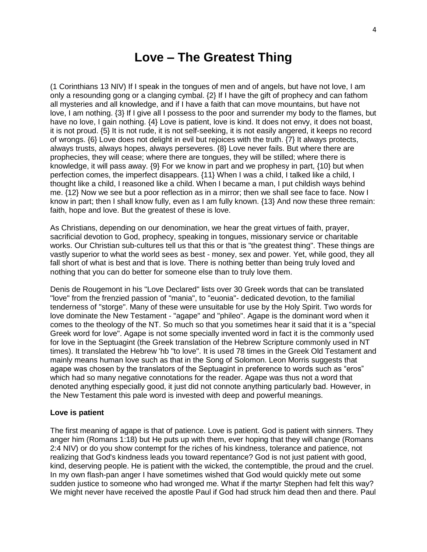# **Love – The Greatest Thing**

(1 Corinthians 13 NIV) If I speak in the tongues of men and of angels, but have not love, I am only a resounding gong or a clanging cymbal. {2} If I have the gift of prophecy and can fathom all mysteries and all knowledge, and if I have a faith that can move mountains, but have not love, I am nothing. {3} If I give all I possess to the poor and surrender my body to the flames, but have no love, I gain nothing.  $\{4\}$  Love is patient, love is kind. It does not envy, it does not boast, it is not proud. {5} It is not rude, it is not self-seeking, it is not easily angered, it keeps no record of wrongs. {6} Love does not delight in evil but rejoices with the truth. {7} It always protects, always trusts, always hopes, always perseveres. {8} Love never fails. But where there are prophecies, they will cease; where there are tongues, they will be stilled; where there is knowledge, it will pass away. {9} For we know in part and we prophesy in part, {10} but when perfection comes, the imperfect disappears. {11} When I was a child, I talked like a child, I thought like a child, I reasoned like a child. When I became a man, I put childish ways behind me. {12} Now we see but a poor reflection as in a mirror; then we shall see face to face. Now I know in part; then I shall know fully, even as I am fully known. {13} And now these three remain: faith, hope and love. But the greatest of these is love.

As Christians, depending on our denomination, we hear the great virtues of faith, prayer, sacrificial devotion to God, prophecy, speaking in tongues, missionary service or charitable works. Our Christian sub-cultures tell us that this or that is "the greatest thing". These things are vastly superior to what the world sees as best - money, sex and power. Yet, while good, they all fall short of what is best and that is love. There is nothing better than being truly loved and nothing that you can do better for someone else than to truly love them.

Denis de Rougemont in his "Love Declared" lists over 30 Greek words that can be translated "love" from the frenzied passion of "mania", to "euonia"- dedicated devotion, to the familial tenderness of "storge". Many of these were unsuitable for use by the Holy Spirit. Two words for love dominate the New Testament - "agape" and "phileo". Agape is the dominant word when it comes to the theology of the NT. So much so that you sometimes hear it said that it is a "special Greek word for love". Agape is not some specially invented word in fact it is the commonly used for love in the Septuagint (the Greek translation of the Hebrew Scripture commonly used in NT times). It translated the Hebrew 'hb "to love". It is used 78 times in the Greek Old Testament and mainly means human love such as that in the Song of Solomon. Leon Morris suggests that agape was chosen by the translators of the Septuagint in preference to words such as "eros" which had so many negative connotations for the reader. Agape was thus not a word that denoted anything especially good, it just did not connote anything particularly bad. However, in the New Testament this pale word is invested with deep and powerful meanings.

#### **Love is patient**

The first meaning of agape is that of patience. Love is patient. God is patient with sinners. They anger him (Romans 1:18) but He puts up with them, ever hoping that they will change (Romans 2:4 NIV) or do you show contempt for the riches of his kindness, tolerance and patience, not realizing that God's kindness leads you toward repentance? God is not just patient with good, kind, deserving people. He is patient with the wicked, the contemptible, the proud and the cruel. In my own flash-pan anger I have sometimes wished that God would quickly mete out some sudden justice to someone who had wronged me. What if the martyr Stephen had felt this way? We might never have received the apostle Paul if God had struck him dead then and there. Paul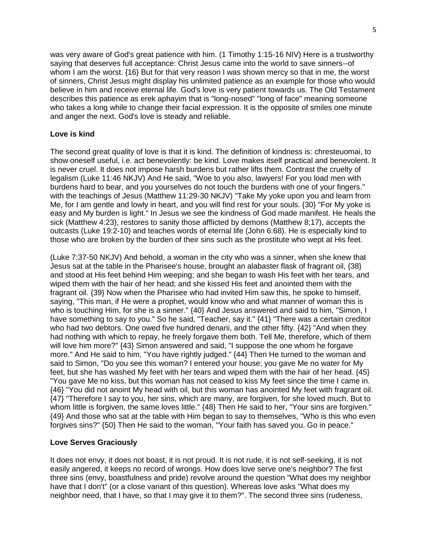was very aware of God's great patience with him. (1 Timothy 1:15-16 NIV) Here is a trustworthy saying that deserves full acceptance: Christ Jesus came into the world to save sinners--of whom I am the worst. {16} But for that very reason I was shown mercy so that in me, the worst of sinners, Christ Jesus might display his unlimited patience as an example for those who would believe in him and receive eternal life. God's love is very patient towards us. The Old Testament describes this patience as erek aphayim that is "long-nosed" "long of face" meaning someone who takes a long while to change their facial expression. It is the opposite of smiles one minute and anger the next. God's love is steady and reliable.

## **Love is kind**

The second great quality of love is that it is kind. The definition of kindness is: chresteuomai, to show oneself useful, i.e. act benevolently: be kind. Love makes itself practical and benevolent. It is never cruel. It does not impose harsh burdens but rather lifts them. Contrast the cruelty of legalism (Luke 11:46 NKJV) And He said, "Woe to you also, lawyers! For you load men with burdens hard to bear, and you yourselves do not touch the burdens with one of your fingers." with the teachings of Jesus (Matthew 11:29-30 NKJV) "Take My yoke upon you and learn from Me, for I am gentle and lowly in heart, and you will find rest for your souls. {30} "For My yoke is easy and My burden is light." In Jesus we see the kindness of God made manifest. He heals the sick (Matthew 4:23), restores to sanity those afflicted by demons (Matthew 8;17), accepts the outcasts (Luke 19:2-10) and teaches words of eternal life (John 6:68). He is especially kind to those who are broken by the burden of their sins such as the prostitute who wept at His feet.

(Luke 7:37-50 NKJV) And behold, a woman in the city who was a sinner, when she knew that Jesus sat at the table in the Pharisee's house, brought an alabaster flask of fragrant oil, {38} and stood at His feet behind Him weeping; and she began to wash His feet with her tears, and wiped them with the hair of her head; and she kissed His feet and anointed them with the fragrant oil. {39} Now when the Pharisee who had invited Him saw this, he spoke to himself, saying, "This man, if He were a prophet, would know who and what manner of woman this is who is touching Him, for she is a sinner." {40} And Jesus answered and said to him, "Simon, I have something to say to you." So he said, "Teacher, say it." {41} "There was a certain creditor who had two debtors. One owed five hundred denarii, and the other fifty. {42} "And when they had nothing with which to repay, he freely forgave them both. Tell Me, therefore, which of them will love him more?" {43} Simon answered and said, "I suppose the one whom he forgave more." And He said to him, "You have rightly judged." {44} Then He turned to the woman and said to Simon, "Do you see this woman? I entered your house; you gave Me no water for My feet, but she has washed My feet with her tears and wiped them with the hair of her head. {45} "You gave Me no kiss, but this woman has not ceased to kiss My feet since the time I came in. {46} "You did not anoint My head with oil, but this woman has anointed My feet with fragrant oil. {47} "Therefore I say to you, her sins, which are many, are forgiven, for she loved much. But to whom little is forgiven, the same loves little." {48} Then He said to her, "Your sins are forgiven." {49} And those who sat at the table with Him began to say to themselves, "Who is this who even forgives sins?" {50} Then He said to the woman, "Your faith has saved you. Go in peace."

#### **Love Serves Graciously**

It does not envy, it does not boast, it is not proud. It is not rude, it is not self-seeking, it is not easily angered, it keeps no record of wrongs. How does love serve one's neighbor? The first three sins (envy, boastfulness and pride) revolve around the question "What does my neighbor have that I don't" (or a close variant of this question). Whereas love asks "What does my neighbor need, that I have, so that I may give it to them?". The second three sins (rudeness,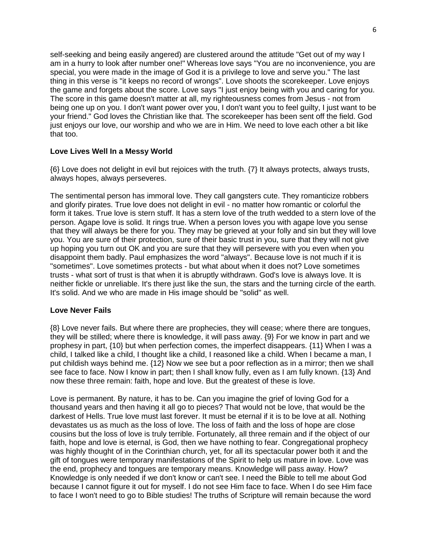self-seeking and being easily angered) are clustered around the attitude "Get out of my way I am in a hurry to look after number one!" Whereas love says "You are no inconvenience, you are special, you were made in the image of God it is a privilege to love and serve you." The last thing in this verse is "it keeps no record of wrongs". Love shoots the scorekeeper. Love enjoys the game and forgets about the score. Love says "I just enjoy being with you and caring for you. The score in this game doesn't matter at all, my righteousness comes from Jesus - not from being one up on you. I don't want power over you, I don't want you to feel guilty, I just want to be your friend." God loves the Christian like that. The scorekeeper has been sent off the field. God just enjoys our love, our worship and who we are in Him. We need to love each other a bit like that too.

## **Love Lives Well In a Messy World**

{6} Love does not delight in evil but rejoices with the truth. {7} It always protects, always trusts, always hopes, always perseveres.

The sentimental person has immoral love. They call gangsters cute. They romanticize robbers and glorify pirates. True love does not delight in evil - no matter how romantic or colorful the form it takes. True love is stern stuff. It has a stern love of the truth wedded to a stern love of the person. Agape love is solid. It rings true. When a person loves you with agape love you sense that they will always be there for you. They may be grieved at your folly and sin but they will love you. You are sure of their protection, sure of their basic trust in you, sure that they will not give up hoping you turn out OK and you are sure that they will persevere with you even when you disappoint them badly. Paul emphasizes the word "always". Because love is not much if it is "sometimes". Love sometimes protects - but what about when it does not? Love sometimes trusts - what sort of trust is that when it is abruptly withdrawn. God's love is always love. It is neither fickle or unreliable. It's there just like the sun, the stars and the turning circle of the earth. It's solid. And we who are made in His image should be "solid" as well.

#### **Love Never Fails**

{8} Love never fails. But where there are prophecies, they will cease; where there are tongues, they will be stilled; where there is knowledge, it will pass away. {9} For we know in part and we prophesy in part, {10} but when perfection comes, the imperfect disappears. {11} When I was a child, I talked like a child, I thought like a child, I reasoned like a child. When I became a man, I put childish ways behind me. {12} Now we see but a poor reflection as in a mirror; then we shall see face to face. Now I know in part; then I shall know fully, even as I am fully known. {13} And now these three remain: faith, hope and love. But the greatest of these is love.

Love is permanent. By nature, it has to be. Can you imagine the grief of loving God for a thousand years and then having it all go to pieces? That would not be love, that would be the darkest of Hells. True love must last forever. It must be eternal if it is to be love at all. Nothing devastates us as much as the loss of love. The loss of faith and the loss of hope are close cousins but the loss of love is truly terrible. Fortunately, all three remain and if the object of our faith, hope and love is eternal, is God, then we have nothing to fear. Congregational prophecy was highly thought of in the Corinthian church, yet, for all its spectacular power both it and the gift of tongues were temporary manifestations of the Spirit to help us mature in love. Love was the end, prophecy and tongues are temporary means. Knowledge will pass away. How? Knowledge is only needed if we don't know or can't see. I need the Bible to tell me about God because I cannot figure it out for myself. I do not see Him face to face. When I do see Him face to face I won't need to go to Bible studies! The truths of Scripture will remain because the word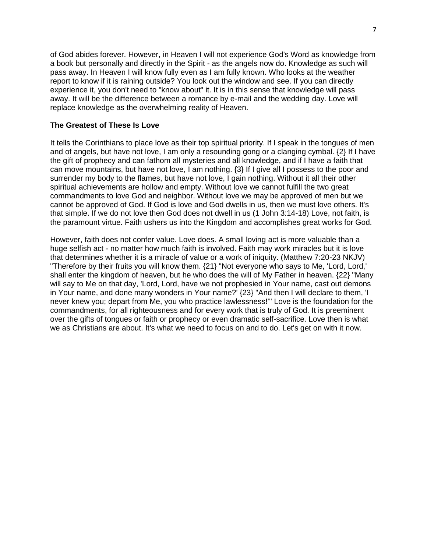of God abides forever. However, in Heaven I will not experience God's Word as knowledge from a book but personally and directly in the Spirit - as the angels now do. Knowledge as such will pass away. In Heaven I will know fully even as I am fully known. Who looks at the weather report to know if it is raining outside? You look out the window and see. If you can directly experience it, you don't need to "know about" it. It is in this sense that knowledge will pass away. It will be the difference between a romance by e-mail and the wedding day. Love will replace knowledge as the overwhelming reality of Heaven.

#### **The Greatest of These Is Love**

It tells the Corinthians to place love as their top spiritual priority. If I speak in the tongues of men and of angels, but have not love, I am only a resounding gong or a clanging cymbal. {2} If I have the gift of prophecy and can fathom all mysteries and all knowledge, and if I have a faith that can move mountains, but have not love, I am nothing. {3} If I give all I possess to the poor and surrender my body to the flames, but have not love, I gain nothing. Without it all their other spiritual achievements are hollow and empty. Without love we cannot fulfill the two great commandments to love God and neighbor. Without love we may be approved of men but we cannot be approved of God. If God is love and God dwells in us, then we must love others. It's that simple. If we do not love then God does not dwell in us (1 John 3:14-18) Love, not faith, is the paramount virtue. Faith ushers us into the Kingdom and accomplishes great works for God.

However, faith does not confer value. Love does. A small loving act is more valuable than a huge selfish act - no matter how much faith is involved. Faith may work miracles but it is love that determines whether it is a miracle of value or a work of iniquity. (Matthew 7:20-23 NKJV) "Therefore by their fruits you will know them. {21} "Not everyone who says to Me, 'Lord, Lord,' shall enter the kingdom of heaven, but he who does the will of My Father in heaven. {22} "Many will say to Me on that day, 'Lord, Lord, have we not prophesied in Your name, cast out demons in Your name, and done many wonders in Your name?' {23} "And then I will declare to them, 'I never knew you; depart from Me, you who practice lawlessness!'" Love is the foundation for the commandments, for all righteousness and for every work that is truly of God. It is preeminent over the gifts of tongues or faith or prophecy or even dramatic self-sacrifice. Love then is what we as Christians are about. It's what we need to focus on and to do. Let's get on with it now.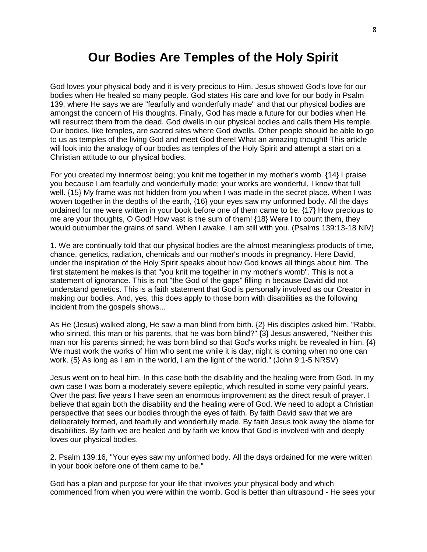# **Our Bodies Are Temples of the Holy Spirit**

God loves your physical body and it is very precious to Him. Jesus showed God's love for our bodies when He healed so many people. God states His care and love for our body in Psalm 139, where He says we are "fearfully and wonderfully made" and that our physical bodies are amongst the concern of His thoughts. Finally, God has made a future for our bodies when He will resurrect them from the dead. God dwells in our physical bodies and calls them His temple. Our bodies, like temples, are sacred sites where God dwells. Other people should be able to go to us as temples of the living God and meet God there! What an amazing thought! This article will look into the analogy of our bodies as temples of the Holy Spirit and attempt a start on a Christian attitude to our physical bodies.

For you created my innermost being; you knit me together in my mother's womb. {14} I praise you because I am fearfully and wonderfully made; your works are wonderful, I know that full well. {15} My frame was not hidden from you when I was made in the secret place. When I was woven together in the depths of the earth, {16} your eyes saw my unformed body. All the days ordained for me were written in your book before one of them came to be. {17} How precious to me are your thoughts, O God! How vast is the sum of them! {18} Were I to count them, they would outnumber the grains of sand. When I awake, I am still with you. (Psalms 139:13-18 NIV)

1. We are continually told that our physical bodies are the almost meaningless products of time, chance, genetics, radiation, chemicals and our mother's moods in pregnancy. Here David, under the inspiration of the Holy Spirit speaks about how God knows all things about him. The first statement he makes is that "you knit me together in my mother's womb". This is not a statement of ignorance. This is not "the God of the gaps" filling in because David did not understand genetics. This is a faith statement that God is personally involved as our Creator in making our bodies. And, yes, this does apply to those born with disabilities as the following incident from the gospels shows...

As He (Jesus) walked along, He saw a man blind from birth. {2} His disciples asked him, "Rabbi, who sinned, this man or his parents, that he was born blind?" {3} Jesus answered, "Neither this man nor his parents sinned; he was born blind so that God's works might be revealed in him. {4} We must work the works of Him who sent me while it is day; night is coming when no one can work. {5} As long as I am in the world, I am the light of the world." (John 9:1-5 NRSV)

Jesus went on to heal him. In this case both the disability and the healing were from God. In my own case I was born a moderately severe epileptic, which resulted in some very painful years. Over the past five years I have seen an enormous improvement as the direct result of prayer. I believe that again both the disability and the healing were of God. We need to adopt a Christian perspective that sees our bodies through the eyes of faith. By faith David saw that we are deliberately formed, and fearfully and wonderfully made. By faith Jesus took away the blame for disabilities. By faith we are healed and by faith we know that God is involved with and deeply loves our physical bodies.

2. Psalm 139:16, "Your eyes saw my unformed body. All the days ordained for me were written in your book before one of them came to be."

God has a plan and purpose for your life that involves your physical body and which commenced from when you were within the womb. God is better than ultrasound - He sees your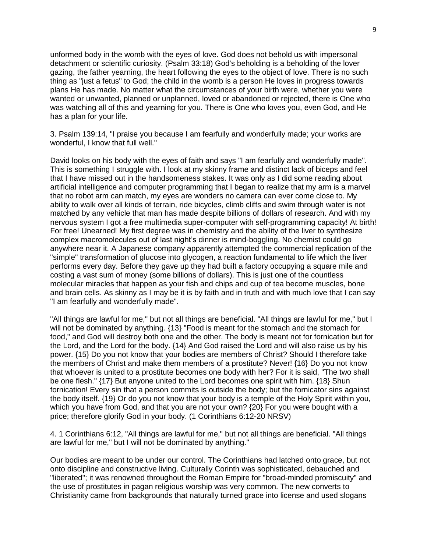unformed body in the womb with the eyes of love. God does not behold us with impersonal detachment or scientific curiosity. (Psalm 33:18) God's beholding is a beholding of the lover gazing, the father yearning, the heart following the eyes to the object of love. There is no such thing as "just a fetus" to God; the child in the womb is a person He loves in progress towards plans He has made. No matter what the circumstances of your birth were, whether you were wanted or unwanted, planned or unplanned, loved or abandoned or rejected, there is One who was watching all of this and yearning for you. There is One who loves you, even God, and He has a plan for your life.

3. Psalm 139:14, "I praise you because I am fearfully and wonderfully made; your works are wonderful, I know that full well."

David looks on his body with the eyes of faith and says "I am fearfully and wonderfully made". This is something I struggle with. I look at my skinny frame and distinct lack of biceps and feel that I have missed out in the handsomeness stakes. It was only as I did some reading about artificial intelligence and computer programming that I began to realize that my arm is a marvel that no robot arm can match, my eyes are wonders no camera can ever come close to. My ability to walk over all kinds of terrain, ride bicycles, climb cliffs and swim through water is not matched by any vehicle that man has made despite billions of dollars of research. And with my nervous system I got a free multimedia super-computer with self-programming capacity! At birth! For free! Unearned! My first degree was in chemistry and the ability of the liver to synthesize complex macromolecules out of last night's dinner is mind-boggling. No chemist could go anywhere near it. A Japanese company apparently attempted the commercial replication of the "simple" transformation of glucose into glycogen, a reaction fundamental to life which the liver performs every day. Before they gave up they had built a factory occupying a square mile and costing a vast sum of money (some billions of dollars). This is just one of the countless molecular miracles that happen as your fish and chips and cup of tea become muscles, bone and brain cells. As skinny as I may be it is by faith and in truth and with much love that I can say "I am fearfully and wonderfully made".

"All things are lawful for me," but not all things are beneficial. "All things are lawful for me," but I will not be dominated by anything. {13} "Food is meant for the stomach and the stomach for food," and God will destroy both one and the other. The body is meant not for fornication but for the Lord, and the Lord for the body. {14} And God raised the Lord and will also raise us by his power. {15} Do you not know that your bodies are members of Christ? Should I therefore take the members of Christ and make them members of a prostitute? Never! {16} Do you not know that whoever is united to a prostitute becomes one body with her? For it is said, "The two shall be one flesh." {17} But anyone united to the Lord becomes one spirit with him. {18} Shun fornication! Every sin that a person commits is outside the body; but the fornicator sins against the body itself. {19} Or do you not know that your body is a temple of the Holy Spirit within you, which you have from God, and that you are not your own? {20} For you were bought with a price; therefore glorify God in your body. (1 Corinthians 6:12-20 NRSV)

4. 1 Corinthians 6:12, "All things are lawful for me," but not all things are beneficial. "All things are lawful for me," but I will not be dominated by anything."

Our bodies are meant to be under our control. The Corinthians had latched onto grace, but not onto discipline and constructive living. Culturally Corinth was sophisticated, debauched and "liberated"; it was renowned throughout the Roman Empire for "broad-minded promiscuity" and the use of prostitutes in pagan religious worship was very common. The new converts to Christianity came from backgrounds that naturally turned grace into license and used slogans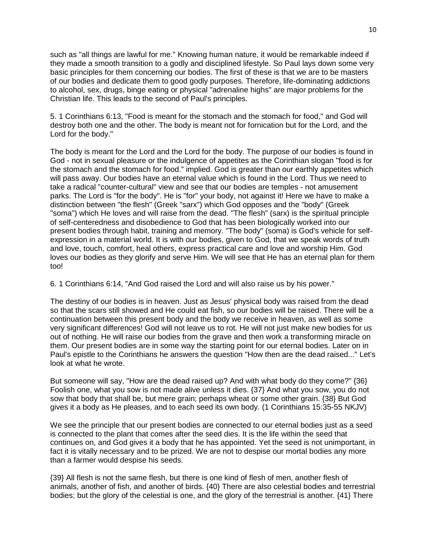such as "all things are lawful for me." Knowing human nature, it would be remarkable indeed if they made a smooth transition to a godly and disciplined lifestyle. So Paul lays down some very basic principles for them concerning our bodies. The first of these is that we are to be masters of our bodies and dedicate them to good godly purposes. Therefore, life-dominating addictions to alcohol, sex, drugs, binge eating or physical "adrenaline highs" are major problems for the Christian life. This leads to the second of Paul's principles.

5. 1 Corinthians 6:13, "Food is meant for the stomach and the stomach for food," and God will destroy both one and the other. The body is meant not for fornication but for the Lord, and the Lord for the body."

The body is meant for the Lord and the Lord for the body. The purpose of our bodies is found in God - not in sexual pleasure or the indulgence of appetites as the Corinthian slogan "food is for the stomach and the stomach for food." implied. God is greater than our earthly appetites which will pass away. Our bodies have an eternal value which is found in the Lord. Thus we need to take a radical "counter-cultural" view and see that our bodies are temples - not amusement parks. The Lord is "for the body". He is "for" your body, not against it! Here we have to make a distinction between "the flesh" (Greek "sarx") which God opposes and the "body" (Greek "soma") which He loves and will raise from the dead. "The flesh" (sarx) is the spiritual principle of self-centeredness and disobedience to God that has been biologically worked into our present bodies through habit, training and memory. "The body" (soma) is God's vehicle for selfexpression in a material world. It is with our bodies, given to God, that we speak words of truth and love, touch, comfort, heal others, express practical care and love and worship Him. God loves our bodies as they glorify and serve Him. We will see that He has an eternal plan for them too!

6. 1 Corinthians 6:14, "And God raised the Lord and will also raise us by his power."

The destiny of our bodies is in heaven. Just as Jesus' physical body was raised from the dead so that the scars still showed and He could eat fish, so our bodies will be raised. There will be a continuation between this present body and the body we receive in heaven, as well as some very significant differences! God will not leave us to rot. He will not just make new bodies for us out of nothing. He will raise our bodies from the grave and then work a transforming miracle on them. Our present bodies are in some way the starting point for our eternal bodies. Later on in Paul's epistle to the Corinthians he answers the question "How then are the dead raised..." Let's look at what he wrote.

But someone will say, "How are the dead raised up? And with what body do they come?" {36} Foolish one, what you sow is not made alive unless it dies. {37} And what you sow, you do not sow that body that shall be, but mere grain; perhaps wheat or some other grain. {38} But God gives it a body as He pleases, and to each seed its own body. (1 Corinthians 15:35-55 NKJV)

We see the principle that our present bodies are connected to our eternal bodies just as a seed is connected to the plant that comes after the seed dies. It is the life within the seed that continues on, and God gives it a body that he has appointed. Yet the seed is not unimportant, in fact it is vitally necessary and to be prized. We are not to despise our mortal bodies any more than a farmer would despise his seeds.

{39} All flesh is not the same flesh, but there is one kind of flesh of men, another flesh of animals, another of fish, and another of birds. {40} There are also celestial bodies and terrestrial bodies; but the glory of the celestial is one, and the glory of the terrestrial is another. {41} There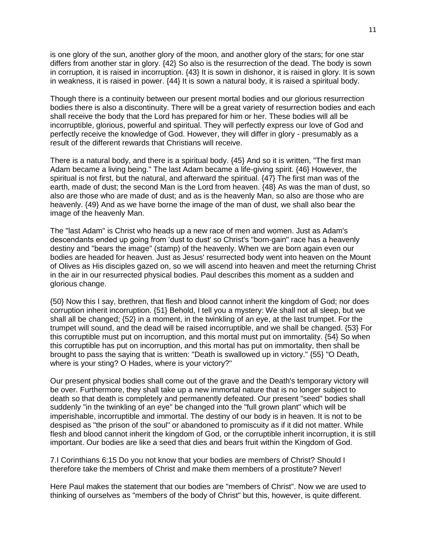is one glory of the sun, another glory of the moon, and another glory of the stars; for one star differs from another star in glory. {42} So also is the resurrection of the dead. The body is sown in corruption, it is raised in incorruption. {43} It is sown in dishonor, it is raised in glory. It is sown in weakness, it is raised in power. {44} It is sown a natural body, it is raised a spiritual body.

Though there is a continuity between our present mortal bodies and our glorious resurrection bodies there is also a discontinuity. There will be a great variety of resurrection bodies and each shall receive the body that the Lord has prepared for him or her. These bodies will all be incorruptible, glorious, powerful and spiritual. They will perfectly express our love of God and perfectly receive the knowledge of God. However, they will differ in glory - presumably as a result of the different rewards that Christians will receive.

There is a natural body, and there is a spiritual body. {45} And so it is written, "The first man Adam became a living being." The last Adam became a life-giving spirit. {46} However, the spiritual is not first, but the natural, and afterward the spiritual. {47} The first man was of the earth, made of dust; the second Man is the Lord from heaven. {48} As was the man of dust, so also are those who are made of dust; and as is the heavenly Man, so also are those who are heavenly. {49} And as we have borne the image of the man of dust, we shall also bear the image of the heavenly Man.

The "last Adam" is Christ who heads up a new race of men and women. Just as Adam's descendants ended up going from 'dust to dust' so Christ's "born-gain" race has a heavenly destiny and "bears the image" (stamp) of the heavenly. When we are born again even our bodies are headed for heaven. Just as Jesus' resurrected body went into heaven on the Mount of Olives as His disciples gazed on, so we will ascend into heaven and meet the returning Christ in the air in our resurrected physical bodies. Paul describes this moment as a sudden and glorious change.

{50} Now this I say, brethren, that flesh and blood cannot inherit the kingdom of God; nor does corruption inherit incorruption. {51} Behold, I tell you a mystery: We shall not all sleep, but we shall all be changed; {52} in a moment, in the twinkling of an eye, at the last trumpet. For the trumpet will sound, and the dead will be raised incorruptible, and we shall be changed. {53} For this corruptible must put on incorruption, and this mortal must put on immortality. {54} So when this corruptible has put on incorruption, and this mortal has put on immortality, then shall be brought to pass the saying that is written: "Death is swallowed up in victory." {55} "O Death, where is your sting? O Hades, where is your victory?"

Our present physical bodies shall come out of the grave and the Death's temporary victory will be over. Furthermore, they shall take up a new immortal nature that is no longer subject to death so that death is completely and permanently defeated. Our present "seed" bodies shall suddenly "in the twinkling of an eye" be changed into the "full grown plant" which will be imperishable, incorruptible and immortal. The destiny of our body is in heaven. It is not to be despised as "the prison of the soul" or abandoned to promiscuity as if it did not matter. While flesh and blood cannot inherit the kingdom of God, or the corruptible inherit incorruption, it is still important. Our bodies are like a seed that dies and bears fruit within the Kingdom of God.

7.I Corinthians 6:15 Do you not know that your bodies are members of Christ? Should I therefore take the members of Christ and make them members of a prostitute? Never!

Here Paul makes the statement that our bodies are "members of Christ". Now we are used to thinking of ourselves as "members of the body of Christ" but this, however, is quite different.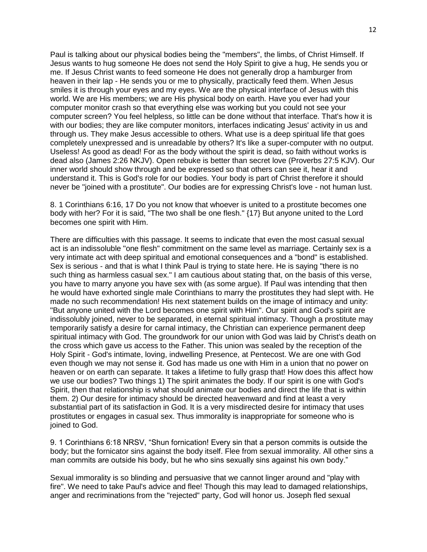Paul is talking about our physical bodies being the "members", the limbs, of Christ Himself. If Jesus wants to hug someone He does not send the Holy Spirit to give a hug, He sends you or me. If Jesus Christ wants to feed someone He does not generally drop a hamburger from heaven in their lap - He sends you or me to physically, practically feed them. When Jesus smiles it is through your eyes and my eyes. We are the physical interface of Jesus with this world. We are His members; we are His physical body on earth. Have you ever had your computer monitor crash so that everything else was working but you could not see your computer screen? You feel helpless, so little can be done without that interface. That's how it is with our bodies; they are like computer monitors, interfaces indicating Jesus' activity in us and through us. They make Jesus accessible to others. What use is a deep spiritual life that goes completely unexpressed and is unreadable by others? It's like a super-computer with no output. Useless! As good as dead! For as the body without the spirit is dead, so faith without works is dead also (James 2:26 NKJV). Open rebuke is better than secret love (Proverbs 27:5 KJV). Our inner world should show through and be expressed so that others can see it, hear it and understand it. This is God's role for our bodies. Your body is part of Christ therefore it should never be "joined with a prostitute". Our bodies are for expressing Christ's love - not human lust.

8. 1 Corinthians 6:16, 17 Do you not know that whoever is united to a prostitute becomes one body with her? For it is said, "The two shall be one flesh." {17} But anyone united to the Lord becomes one spirit with Him.

There are difficulties with this passage. It seems to indicate that even the most casual sexual act is an indissoluble "one flesh" commitment on the same level as marriage. Certainly sex is a very intimate act with deep spiritual and emotional consequences and a "bond" is established. Sex is serious - and that is what I think Paul is trying to state here. He is saying "there is no such thing as harmless casual sex." I am cautious about stating that, on the basis of this verse, you have to marry anyone you have sex with (as some argue). If Paul was intending that then he would have exhorted single male Corinthians to marry the prostitutes they had slept with. He made no such recommendation! His next statement builds on the image of intimacy and unity: "But anyone united with the Lord becomes one spirit with Him". Our spirit and God's spirit are indissolubly joined, never to be separated, in eternal spiritual intimacy. Though a prostitute may temporarily satisfy a desire for carnal intimacy, the Christian can experience permanent deep spiritual intimacy with God. The groundwork for our union with God was laid by Christ's death on the cross which gave us access to the Father. This union was sealed by the reception of the Holy Spirit - God's intimate, loving, indwelling Presence, at Pentecost. We are one with God even though we may not sense it. God has made us one with Him in a union that no power on heaven or on earth can separate. It takes a lifetime to fully grasp that! How does this affect how we use our bodies? Two things 1) The spirit animates the body. If our spirit is one with God's Spirit, then that relationship is what should animate our bodies and direct the life that is within them. 2) Our desire for intimacy should be directed heavenward and find at least a very substantial part of its satisfaction in God. It is a very misdirected desire for intimacy that uses prostitutes or engages in casual sex. Thus immorality is inappropriate for someone who is joined to God.

9. 1 Corinthians 6:18 NRSV, "Shun fornication! Every sin that a person commits is outside the body; but the fornicator sins against the body itself. Flee from sexual immorality. All other sins a man commits are outside his body, but he who sins sexually sins against his own body."

Sexual immorality is so blinding and persuasive that we cannot linger around and "play with fire". We need to take Paul's advice and flee! Though this may lead to damaged relationships, anger and recriminations from the "rejected" party, God will honor us. Joseph fled sexual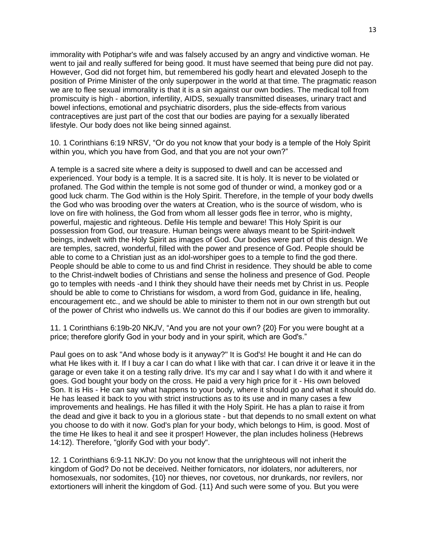immorality with Potiphar's wife and was falsely accused by an angry and vindictive woman. He went to jail and really suffered for being good. It must have seemed that being pure did not pay. However, God did not forget him, but remembered his godly heart and elevated Joseph to the position of Prime Minister of the only superpower in the world at that time. The pragmatic reason we are to flee sexual immorality is that it is a sin against our own bodies. The medical toll from promiscuity is high - abortion, infertility, AIDS, sexually transmitted diseases, urinary tract and bowel infections, emotional and psychiatric disorders, plus the side-effects from various contraceptives are just part of the cost that our bodies are paying for a sexually liberated lifestyle. Our body does not like being sinned against.

10. 1 Corinthians 6:19 NRSV, "Or do you not know that your body is a temple of the Holy Spirit within you, which you have from God, and that you are not your own?"

A temple is a sacred site where a deity is supposed to dwell and can be accessed and experienced. Your body is a temple. It is a sacred site. It is holy. It is never to be violated or profaned. The God within the temple is not some god of thunder or wind, a monkey god or a good luck charm. The God within is the Holy Spirit. Therefore, in the temple of your body dwells the God who was brooding over the waters at Creation, who is the source of wisdom, who is love on fire with holiness, the God from whom all lesser gods flee in terror, who is mighty, powerful, majestic and righteous. Defile His temple and beware! This Holy Spirit is our possession from God, our treasure. Human beings were always meant to be Spirit-indwelt beings, indwelt with the Holy Spirit as images of God. Our bodies were part of this design. We are temples, sacred, wonderful, filled with the power and presence of God. People should be able to come to a Christian just as an idol-worshiper goes to a temple to find the god there. People should be able to come to us and find Christ in residence. They should be able to come to the Christ-indwelt bodies of Christians and sense the holiness and presence of God. People go to temples with needs -and I think they should have their needs met by Christ in us. People should be able to come to Christians for wisdom, a word from God, guidance in life, healing, encouragement etc., and we should be able to minister to them not in our own strength but out of the power of Christ who indwells us. We cannot do this if our bodies are given to immorality.

11. 1 Corinthians 6:19b-20 NKJV, "And you are not your own? {20} For you were bought at a price; therefore glorify God in your body and in your spirit, which are God's."

Paul goes on to ask "And whose body is it anyway?" It is God's! He bought it and He can do what He likes with it. If I buy a car I can do what I like with that car. I can drive it or leave it in the garage or even take it on a testing rally drive. It's my car and I say what I do with it and where it goes. God bought your body on the cross. He paid a very high price for it - His own beloved Son. It is His - He can say what happens to your body, where it should go and what it should do. He has leased it back to you with strict instructions as to its use and in many cases a few improvements and healings. He has filled it with the Holy Spirit. He has a plan to raise it from the dead and give it back to you in a glorious state - but that depends to no small extent on what you choose to do with it now. God's plan for your body, which belongs to Him, is good. Most of the time He likes to heal it and see it prosper! However, the plan includes holiness (Hebrews 14:12). Therefore, "glorify God with your body".

12. 1 Corinthians 6:9-11 NKJV: Do you not know that the unrighteous will not inherit the kingdom of God? Do not be deceived. Neither fornicators, nor idolaters, nor adulterers, nor homosexuals, nor sodomites, {10} nor thieves, nor covetous, nor drunkards, nor revilers, nor extortioners will inherit the kingdom of God. {11} And such were some of you. But you were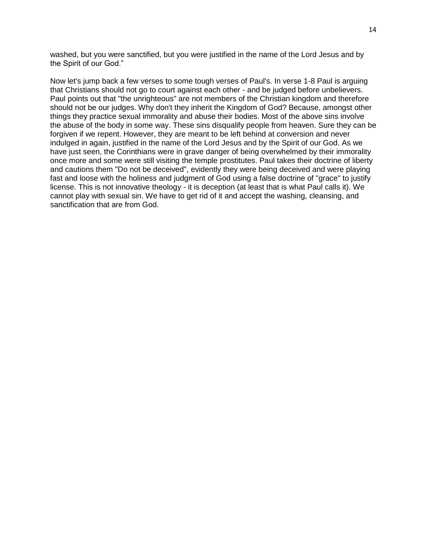washed, but you were sanctified, but you were justified in the name of the Lord Jesus and by the Spirit of our God."

Now let's jump back a few verses to some tough verses of Paul's. In verse 1-8 Paul is arguing that Christians should not go to court against each other - and be judged before unbelievers. Paul points out that "the unrighteous" are not members of the Christian kingdom and therefore should not be our judges. Why don't they inherit the Kingdom of God? Because, amongst other things they practice sexual immorality and abuse their bodies. Most of the above sins involve the abuse of the body in some way. These sins disqualify people from heaven. Sure they can be forgiven if we repent. However, they are meant to be left behind at conversion and never indulged in again, justified in the name of the Lord Jesus and by the Spirit of our God. As we have just seen, the Corinthians were in grave danger of being overwhelmed by their immorality once more and some were still visiting the temple prostitutes. Paul takes their doctrine of liberty and cautions them "Do not be deceived", evidently they were being deceived and were playing fast and loose with the holiness and judgment of God using a false doctrine of "grace" to justify license. This is not innovative theology - it is deception (at least that is what Paul calls it). We cannot play with sexual sin. We have to get rid of it and accept the washing, cleansing, and sanctification that are from God.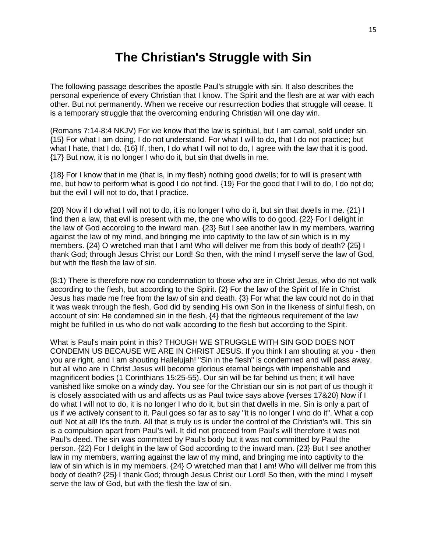# **The Christian's Struggle with Sin**

The following passage describes the apostle Paul's struggle with sin. It also describes the personal experience of every Christian that I know. The Spirit and the flesh are at war with each other. But not permanently. When we receive our resurrection bodies that struggle will cease. It is a temporary struggle that the overcoming enduring Christian will one day win.

(Romans 7:14-8:4 NKJV) For we know that the law is spiritual, but I am carnal, sold under sin. {15} For what I am doing, I do not understand. For what I will to do, that I do not practice; but what I hate, that I do. {16} If, then, I do what I will not to do, I agree with the law that it is good. {17} But now, it is no longer I who do it, but sin that dwells in me.

{18} For I know that in me (that is, in my flesh) nothing good dwells; for to will is present with me, but how to perform what is good I do not find. {19} For the good that I will to do, I do not do; but the evil I will not to do, that I practice.

{20} Now if I do what I will not to do, it is no longer I who do it, but sin that dwells in me. {21} I find then a law, that evil is present with me, the one who wills to do good. {22} For I delight in the law of God according to the inward man. {23} But I see another law in my members, warring against the law of my mind, and bringing me into captivity to the law of sin which is in my members. {24} O wretched man that I am! Who will deliver me from this body of death? {25} I thank God; through Jesus Christ our Lord! So then, with the mind I myself serve the law of God, but with the flesh the law of sin.

(8:1) There is therefore now no condemnation to those who are in Christ Jesus, who do not walk according to the flesh, but according to the Spirit. {2} For the law of the Spirit of life in Christ Jesus has made me free from the law of sin and death. {3} For what the law could not do in that it was weak through the flesh, God did by sending His own Son in the likeness of sinful flesh, on account of sin: He condemned sin in the flesh, {4} that the righteous requirement of the law might be fulfilled in us who do not walk according to the flesh but according to the Spirit.

What is Paul's main point in this? THOUGH WE STRUGGLE WITH SIN GOD DOES NOT CONDEMN US BECAUSE WE ARE IN CHRIST JESUS. If you think I am shouting at you - then you are right, and I am shouting Hallelujah! "Sin in the flesh" is condemned and will pass away, but all who are in Christ Jesus will become glorious eternal beings with imperishable and magnificent bodies (1 Corinthians 15:25-55). Our sin will be far behind us then; it will have vanished like smoke on a windy day. You see for the Christian our sin is not part of us though it is closely associated with us and affects us as Paul twice says above {verses 17&20} Now if I do what I will not to do, it is no longer I who do it, but sin that dwells in me. Sin is only a part of us if we actively consent to it. Paul goes so far as to say "it is no longer I who do it". What a cop out! Not at all! It's the truth. All that is truly us is under the control of the Christian's will. This sin is a compulsion apart from Paul's will. It did not proceed from Paul's will therefore it was not Paul's deed. The sin was committed by Paul's body but it was not committed by Paul the person. {22} For I delight in the law of God according to the inward man. {23} But I see another law in my members, warring against the law of my mind, and bringing me into captivity to the law of sin which is in my members. {24} O wretched man that I am! Who will deliver me from this body of death? {25} I thank God; through Jesus Christ our Lord! So then, with the mind I myself serve the law of God, but with the flesh the law of sin.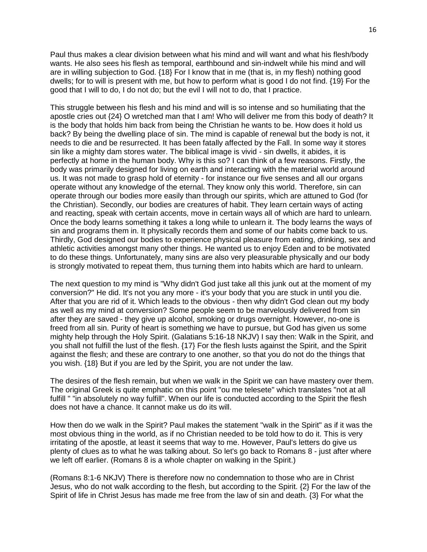Paul thus makes a clear division between what his mind and will want and what his flesh/body wants. He also sees his flesh as temporal, earthbound and sin-indwelt while his mind and will are in willing subjection to God. {18} For I know that in me (that is, in my flesh) nothing good dwells; for to will is present with me, but how to perform what is good I do not find. {19} For the good that I will to do, I do not do; but the evil I will not to do, that I practice.

This struggle between his flesh and his mind and will is so intense and so humiliating that the apostle cries out {24} O wretched man that I am! Who will deliver me from this body of death? It is the body that holds him back from being the Christian he wants to be. How does it hold us back? By being the dwelling place of sin. The mind is capable of renewal but the body is not, it needs to die and be resurrected. It has been fatally affected by the Fall. In some way it stores sin like a mighty dam stores water. The biblical image is vivid - sin dwells, it abides, it is perfectly at home in the human body. Why is this so? I can think of a few reasons. Firstly, the body was primarily designed for living on earth and interacting with the material world around us. It was not made to grasp hold of eternity - for instance our five senses and all our organs operate without any knowledge of the eternal. They know only this world. Therefore, sin can operate through our bodies more easily than through our spirits, which are attuned to God (for the Christian). Secondly, our bodies are creatures of habit. They learn certain ways of acting and reacting, speak with certain accents, move in certain ways all of which are hard to unlearn. Once the body learns something it takes a long while to unlearn it. The body learns the ways of sin and programs them in. It physically records them and some of our habits come back to us. Thirdly, God designed our bodies to experience physical pleasure from eating, drinking, sex and athletic activities amongst many other things. He wanted us to enjoy Eden and to be motivated to do these things. Unfortunately, many sins are also very pleasurable physically and our body is strongly motivated to repeat them, thus turning them into habits which are hard to unlearn.

The next question to my mind is "Why didn't God just take all this junk out at the moment of my conversion?" He did. It's not you any more - it's your body that you are stuck in until you die. After that you are rid of it. Which leads to the obvious - then why didn't God clean out my body as well as my mind at conversion? Some people seem to be marvelously delivered from sin after they are saved - they give up alcohol, smoking or drugs overnight. However, no-one is freed from all sin. Purity of heart is something we have to pursue, but God has given us some mighty help through the Holy Spirit. (Galatians 5:16-18 NKJV) I say then: Walk in the Spirit, and you shall not fulfill the lust of the flesh. {17} For the flesh lusts against the Spirit, and the Spirit against the flesh; and these are contrary to one another, so that you do not do the things that you wish. {18} But if you are led by the Spirit, you are not under the law.

The desires of the flesh remain, but when we walk in the Spirit we can have mastery over them. The original Greek is quite emphatic on this point "ou me telesete" which translates "not at all fulfill " "in absolutely no way fulfill". When our life is conducted according to the Spirit the flesh does not have a chance. It cannot make us do its will.

How then do we walk in the Spirit? Paul makes the statement "walk in the Spirit" as if it was the most obvious thing in the world, as if no Christian needed to be told how to do it. This is very irritating of the apostle, at least it seems that way to me. However, Paul's letters do give us plenty of clues as to what he was talking about. So let's go back to Romans 8 - just after where we left off earlier. (Romans 8 is a whole chapter on walking in the Spirit.)

(Romans 8:1-6 NKJV) There is therefore now no condemnation to those who are in Christ Jesus, who do not walk according to the flesh, but according to the Spirit. {2} For the law of the Spirit of life in Christ Jesus has made me free from the law of sin and death. {3} For what the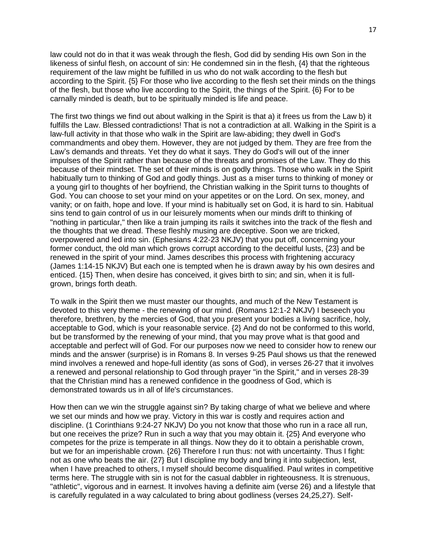law could not do in that it was weak through the flesh, God did by sending His own Son in the likeness of sinful flesh, on account of sin: He condemned sin in the flesh, {4} that the righteous requirement of the law might be fulfilled in us who do not walk according to the flesh but according to the Spirit. {5} For those who live according to the flesh set their minds on the things of the flesh, but those who live according to the Spirit, the things of the Spirit. {6} For to be carnally minded is death, but to be spiritually minded is life and peace.

The first two things we find out about walking in the Spirit is that a) it frees us from the Law b) it fulfills the Law. Blessed contradictions! That is not a contradiction at all. Walking in the Spirit is a law-full activity in that those who walk in the Spirit are law-abiding; they dwell in God's commandments and obey them. However, they are not judged by them. They are free from the Law's demands and threats. Yet they do what it says. They do God's will out of the inner impulses of the Spirit rather than because of the threats and promises of the Law. They do this because of their mindset. The set of their minds is on godly things. Those who walk in the Spirit habitually turn to thinking of God and godly things. Just as a miser turns to thinking of money or a young girl to thoughts of her boyfriend, the Christian walking in the Spirit turns to thoughts of God. You can choose to set your mind on your appetites or on the Lord. On sex, money, and vanity; or on faith, hope and love. If your mind is habitually set on God, it is hard to sin. Habitual sins tend to gain control of us in our leisurely moments when our minds drift to thinking of "nothing in particular," then like a train jumping its rails it switches into the track of the flesh and the thoughts that we dread. These fleshly musing are deceptive. Soon we are tricked, overpowered and led into sin. (Ephesians 4:22-23 NKJV) that you put off, concerning your former conduct, the old man which grows corrupt according to the deceitful lusts, {23} and be renewed in the spirit of your mind. James describes this process with frightening accuracy (James 1:14-15 NKJV) But each one is tempted when he is drawn away by his own desires and enticed. {15} Then, when desire has conceived, it gives birth to sin; and sin, when it is fullgrown, brings forth death.

To walk in the Spirit then we must master our thoughts, and much of the New Testament is devoted to this very theme - the renewing of our mind. (Romans 12:1-2 NKJV) I beseech you therefore, brethren, by the mercies of God, that you present your bodies a living sacrifice, holy, acceptable to God, which is your reasonable service. {2} And do not be conformed to this world, but be transformed by the renewing of your mind, that you may prove what is that good and acceptable and perfect will of God. For our purposes now we need to consider how to renew our minds and the answer (surprise) is in Romans 8. In verses 9-25 Paul shows us that the renewed mind involves a renewed and hope-full identity (as sons of God), in verses 26-27 that it involves a renewed and personal relationship to God through prayer "in the Spirit," and in verses 28-39 that the Christian mind has a renewed confidence in the goodness of God, which is demonstrated towards us in all of life's circumstances.

How then can we win the struggle against sin? By taking charge of what we believe and where we set our minds and how we pray. Victory in this war is costly and requires action and discipline. (1 Corinthians 9:24-27 NKJV) Do you not know that those who run in a race all run, but one receives the prize? Run in such a way that you may obtain it. {25} And everyone who competes for the prize is temperate in all things. Now they do it to obtain a perishable crown, but we for an imperishable crown. {26} Therefore I run thus: not with uncertainty. Thus I fight: not as one who beats the air. {27} But I discipline my body and bring it into subjection, lest, when I have preached to others, I myself should become disqualified. Paul writes in competitive terms here. The struggle with sin is not for the casual dabbler in righteousness. It is strenuous, "athletic", vigorous and in earnest. It involves having a definite aim (verse 26) and a lifestyle that is carefully regulated in a way calculated to bring about godliness (verses 24,25,27). Self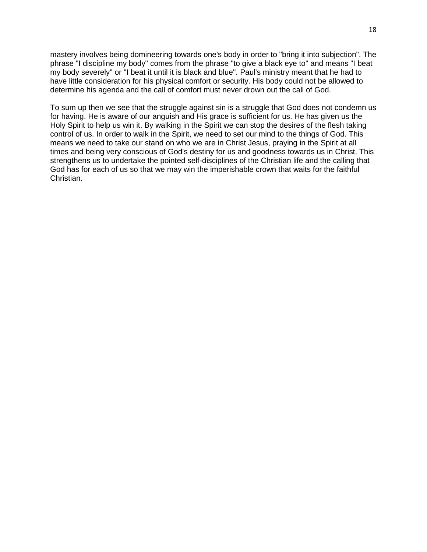mastery involves being domineering towards one's body in order to "bring it into subjection". The phrase "I discipline my body" comes from the phrase "to give a black eye to" and means "I beat my body severely" or "I beat it until it is black and blue". Paul's ministry meant that he had to have little consideration for his physical comfort or security. His body could not be allowed to determine his agenda and the call of comfort must never drown out the call of God.

To sum up then we see that the struggle against sin is a struggle that God does not condemn us for having. He is aware of our anguish and His grace is sufficient for us. He has given us the Holy Spirit to help us win it. By walking in the Spirit we can stop the desires of the flesh taking control of us. In order to walk in the Spirit, we need to set our mind to the things of God. This means we need to take our stand on who we are in Christ Jesus, praying in the Spirit at all times and being very conscious of God's destiny for us and goodness towards us in Christ. This strengthens us to undertake the pointed self-disciplines of the Christian life and the calling that God has for each of us so that we may win the imperishable crown that waits for the faithful Christian.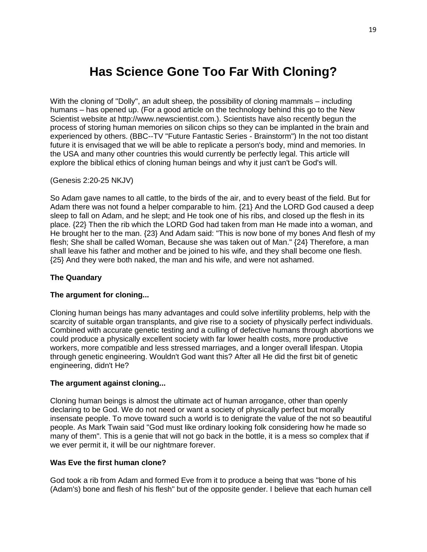# **Has Science Gone Too Far With Cloning?**

With the cloning of "Dolly", an adult sheep, the possibility of cloning mammals – including humans – has opened up. (For a good article on the technology behind this go to the New Scientist website at http://www.newscientist.com.). Scientists have also recently begun the process of storing human memories on silicon chips so they can be implanted in the brain and experienced by others. (BBC--TV "Future Fantastic Series - Brainstorm") In the not too distant future it is envisaged that we will be able to replicate a person's body, mind and memories. In the USA and many other countries this would currently be perfectly legal. This article will explore the biblical ethics of cloning human beings and why it just can't be God's will.

#### (Genesis 2:20-25 NKJV)

So Adam gave names to all cattle, to the birds of the air, and to every beast of the field. But for Adam there was not found a helper comparable to him. {21} And the LORD God caused a deep sleep to fall on Adam, and he slept; and He took one of his ribs, and closed up the flesh in its place. {22} Then the rib which the LORD God had taken from man He made into a woman, and He brought her to the man. {23} And Adam said: "This is now bone of my bones And flesh of my flesh; She shall be called Woman, Because she was taken out of Man." {24} Therefore, a man shall leave his father and mother and be joined to his wife, and they shall become one flesh. {25} And they were both naked, the man and his wife, and were not ashamed.

## **The Quandary**

# **The argument for cloning...**

Cloning human beings has many advantages and could solve infertility problems, help with the scarcity of suitable organ transplants, and give rise to a society of physically perfect individuals. Combined with accurate genetic testing and a culling of defective humans through abortions we could produce a physically excellent society with far lower health costs, more productive workers, more compatible and less stressed marriages, and a longer overall lifespan. Utopia through genetic engineering. Wouldn't God want this? After all He did the first bit of genetic engineering, didn't He?

#### **The argument against cloning...**

Cloning human beings is almost the ultimate act of human arrogance, other than openly declaring to be God. We do not need or want a society of physically perfect but morally insensate people. To move toward such a world is to denigrate the value of the not so beautiful people. As Mark Twain said "God must like ordinary looking folk considering how he made so many of them". This is a genie that will not go back in the bottle, it is a mess so complex that if we ever permit it, it will be our nightmare forever.

#### **Was Eve the first human clone?**

God took a rib from Adam and formed Eve from it to produce a being that was "bone of his (Adam's) bone and flesh of his flesh" but of the opposite gender. I believe that each human cell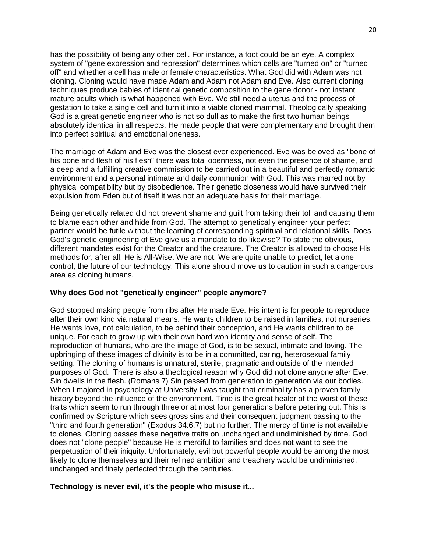has the possibility of being any other cell. For instance, a foot could be an eye. A complex system of "gene expression and repression" determines which cells are "turned on" or "turned off" and whether a cell has male or female characteristics. What God did with Adam was not cloning. Cloning would have made Adam and Adam not Adam and Eve. Also current cloning techniques produce babies of identical genetic composition to the gene donor - not instant mature adults which is what happened with Eve. We still need a uterus and the process of gestation to take a single cell and turn it into a viable cloned mammal. Theologically speaking God is a great genetic engineer who is not so dull as to make the first two human beings absolutely identical in all respects. He made people that were complementary and brought them into perfect spiritual and emotional oneness.

The marriage of Adam and Eve was the closest ever experienced. Eve was beloved as "bone of his bone and flesh of his flesh" there was total openness, not even the presence of shame, and a deep and a fulfilling creative commission to be carried out in a beautiful and perfectly romantic environment and a personal intimate and daily communion with God. This was marred not by physical compatibility but by disobedience. Their genetic closeness would have survived their expulsion from Eden but of itself it was not an adequate basis for their marriage.

Being genetically related did not prevent shame and guilt from taking their toll and causing them to blame each other and hide from God. The attempt to genetically engineer your perfect partner would be futile without the learning of corresponding spiritual and relational skills. Does God's genetic engineering of Eve give us a mandate to do likewise? To state the obvious, different mandates exist for the Creator and the creature. The Creator is allowed to choose His methods for, after all, He is All-Wise. We are not. We are quite unable to predict, let alone control, the future of our technology. This alone should move us to caution in such a dangerous area as cloning humans.

#### **Why does God not "genetically engineer" people anymore?**

God stopped making people from ribs after He made Eve. His intent is for people to reproduce after their own kind via natural means. He wants children to be raised in families, not nurseries. He wants love, not calculation, to be behind their conception, and He wants children to be unique. For each to grow up with their own hard won identity and sense of self. The reproduction of humans, who are the image of God, is to be sexual, intimate and loving. The upbringing of these images of divinity is to be in a committed, caring, heterosexual family setting. The cloning of humans is unnatural, sterile, pragmatic and outside of the intended purposes of God. There is also a theological reason why God did not clone anyone after Eve. Sin dwells in the flesh. (Romans 7) Sin passed from generation to generation via our bodies. When I majored in psychology at University I was taught that criminality has a proven family history beyond the influence of the environment. Time is the great healer of the worst of these traits which seem to run through three or at most four generations before petering out. This is confirmed by Scripture which sees gross sins and their consequent judgment passing to the "third and fourth generation" (Exodus 34:6,7) but no further. The mercy of time is not available to clones. Cloning passes these negative traits on unchanged and undiminished by time. God does not "clone people'' because He is merciful to families and does not want to see the perpetuation of their iniquity. Unfortunately, evil but powerful people would be among the most likely to clone themselves and their refined ambition and treachery would be undiminished, unchanged and finely perfected through the centuries.

#### **Technology is never evil, it's the people who misuse it...**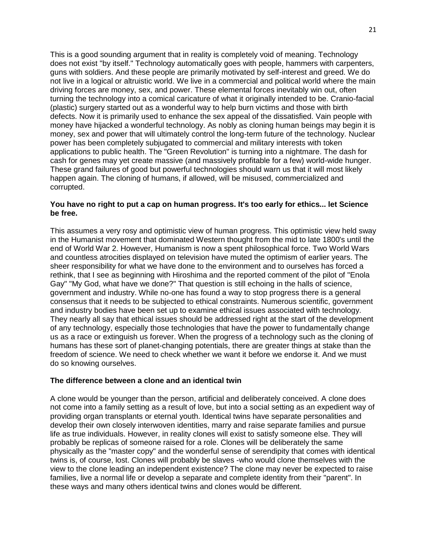This is a good sounding argument that in reality is completely void of meaning. Technology does not exist "by itself." Technology automatically goes with people, hammers with carpenters, guns with soldiers. And these people are primarily motivated by self-interest and greed. We do not live in a logical or altruistic world. We live in a commercial and political world where the main driving forces are money, sex, and power. These elemental forces inevitably win out, often turning the technology into a comical caricature of what it originally intended to be. Cranio-facial (plastic) surgery started out as a wonderful way to help burn victims and those with birth defects. Now it is primarily used to enhance the sex appeal of the dissatisfied. Vain people with money have hijacked a wonderful technology. As nobly as cloning human beings may begin it is money, sex and power that will ultimately control the long-term future of the technology. Nuclear power has been completely subjugated to commercial and military interests with token applications to public health. The "Green Revolution" is turning into a nightmare. The dash for cash for genes may yet create massive (and massively profitable for a few) world-wide hunger. These grand failures of good but powerful technologies should warn us that it will most likely happen again. The cloning of humans, if allowed, will be misused, commercialized and corrupted.

#### **You have no right to put a cap on human progress. It's too early for ethics... let Science be free.**

This assumes a very rosy and optimistic view of human progress. This optimistic view held sway in the Humanist movement that dominated Western thought from the mid to late 1800's until the end of World War 2. However, Humanism is now a spent philosophical force. Two World Wars and countless atrocities displayed on television have muted the optimism of earlier years. The sheer responsibility for what we have done to the environment and to ourselves has forced a rethink, that I see as beginning with Hiroshima and the reported comment of the pilot of "Enola Gay" "My God, what have we done?" That question is still echoing in the halls of science, government and industry. While no-one has found a way to stop progress there is a general consensus that it needs to be subjected to ethical constraints. Numerous scientific, government and industry bodies have been set up to examine ethical issues associated with technology. They nearly all say that ethical issues should be addressed right at the start of the development of any technology, especially those technologies that have the power to fundamentally change us as a race or extinguish us forever. When the progress of a technology such as the cloning of humans has these sort of planet-changing potentials, there are greater things at stake than the freedom of science. We need to check whether we want it before we endorse it. And we must do so knowing ourselves.

#### **The difference between a clone and an identical twin**

A clone would be younger than the person, artificial and deliberately conceived. A clone does not come into a family setting as a result of love, but into a social setting as an expedient way of providing organ transplants or eternal youth. Identical twins have separate personalities and develop their own closely interwoven identities, marry and raise separate families and pursue life as true individuals. However, in reality clones will exist to satisfy someone else. They will probably be replicas of someone raised for a role. Clones will be deliberately the same physically as the "master copy" and the wonderful sense of serendipity that comes with identical twins is, of course, lost. Clones will probably be slaves -who would clone themselves with the view to the clone leading an independent existence? The clone may never be expected to raise families, live a normal life or develop a separate and complete identity from their "parent". In these ways and many others identical twins and clones would be different.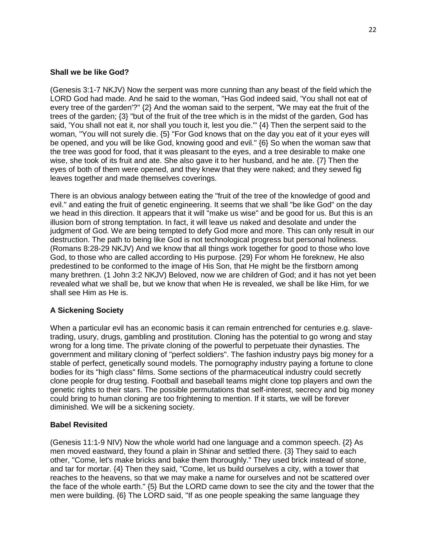# **Shall we be like God?**

(Genesis 3:1-7 NKJV) Now the serpent was more cunning than any beast of the field which the LORD God had made. And he said to the woman, "Has God indeed said, 'You shall not eat of every tree of the garden'?" {2} And the woman said to the serpent, "We may eat the fruit of the trees of the garden; {3} "but of the fruit of the tree which is in the midst of the garden, God has said, 'You shall not eat it, nor shall you touch it, lest you die.'" {4} Then the serpent said to the woman, "You will not surely die. {5} "For God knows that on the day you eat of it your eyes will be opened, and you will be like God, knowing good and evil." {6} So when the woman saw that the tree was good for food, that it was pleasant to the eyes, and a tree desirable to make one wise, she took of its fruit and ate. She also gave it to her husband, and he ate. {7} Then the eyes of both of them were opened, and they knew that they were naked; and they sewed fig leaves together and made themselves coverings.

There is an obvious analogy between eating the "fruit of the tree of the knowledge of good and evil." and eating the fruit of genetic engineering. It seems that we shall "be like God" on the day we head in this direction. It appears that it will "make us wise" and be good for us. But this is an illusion born of strong temptation. In fact, it will leave us naked and desolate and under the judgment of God. We are being tempted to defy God more and more. This can only result in our destruction. The path to being like God is not technological progress but personal holiness. (Romans 8:28-29 NKJV) And we know that all things work together for good to those who love God, to those who are called according to His purpose. {29} For whom He foreknew, He also predestined to be conformed to the image of His Son, that He might be the firstborn among many brethren. (1 John 3:2 NKJV) Beloved, now we are children of God; and it has not yet been revealed what we shall be, but we know that when He is revealed, we shall be like Him, for we shall see Him as He is.

# **A Sickening Society**

When a particular evil has an economic basis it can remain entrenched for centuries e.g. slavetrading, usury, drugs, gambling and prostitution. Cloning has the potential to go wrong and stay wrong for a long time. The private cloning of the powerful to perpetuate their dynasties. The government and military cloning of "perfect soldiers". The fashion industry pays big money for a stable of perfect, genetically sound models. The pornography industry paying a fortune to clone bodies for its "high class" films. Some sections of the pharmaceutical industry could secretly clone people for drug testing. Football and baseball teams might clone top players and own the genetic rights to their stars. The possible permutations that self-interest, secrecy and big money could bring to human cloning are too frightening to mention. If it starts, we will be forever diminished. We will be a sickening society.

# **Babel Revisited**

(Genesis 11:1-9 NIV) Now the whole world had one language and a common speech. {2} As men moved eastward, they found a plain in Shinar and settled there. {3} They said to each other, "Come, let's make bricks and bake them thoroughly." They used brick instead of stone, and tar for mortar. {4} Then they said, "Come, let us build ourselves a city, with a tower that reaches to the heavens, so that we may make a name for ourselves and not be scattered over the face of the whole earth." {5} But the LORD came down to see the city and the tower that the men were building. {6} The LORD said, "If as one people speaking the same language they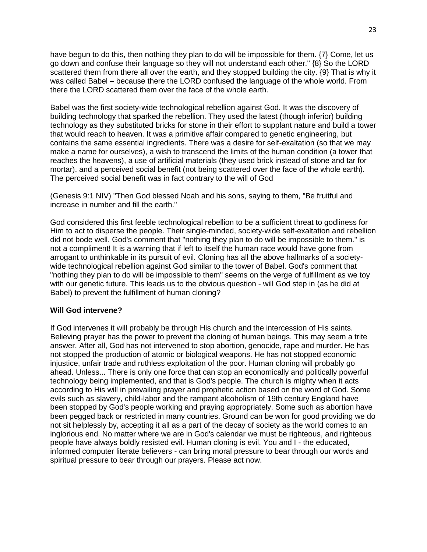have begun to do this, then nothing they plan to do will be impossible for them. {7} Come, let us go down and confuse their language so they will not understand each other." {8} So the LORD scattered them from there all over the earth, and they stopped building the city. {9} That is why it was called Babel – because there the LORD confused the language of the whole world. From there the LORD scattered them over the face of the whole earth.

Babel was the first society-wide technological rebellion against God. It was the discovery of building technology that sparked the rebellion. They used the latest (though inferior) building technology as they substituted bricks for stone in their effort to supplant nature and build a tower that would reach to heaven. It was a primitive affair compared to genetic engineering, but contains the same essential ingredients. There was a desire for self-exaltation (so that we may make a name for ourselves), a wish to transcend the limits of the human condition (a tower that reaches the heavens), a use of artificial materials (they used brick instead of stone and tar for mortar), and a perceived social benefit (not being scattered over the face of the whole earth). The perceived social benefit was in fact contrary to the will of God

(Genesis 9:1 NIV) "Then God blessed Noah and his sons, saying to them, "Be fruitful and increase in number and fill the earth."

God considered this first feeble technological rebellion to be a sufficient threat to godliness for Him to act to disperse the people. Their single-minded, society-wide self-exaltation and rebellion did not bode well. God's comment that "nothing they plan to do will be impossible to them." is not a compliment! It is a warning that if left to itself the human race would have gone from arrogant to unthinkable in its pursuit of evil. Cloning has all the above hallmarks of a societywide technological rebellion against God similar to the tower of Babel. God's comment that "nothing they plan to do will be impossible to them" seems on the verge of fulfillment as we toy with our genetic future. This leads us to the obvious question - will God step in (as he did at Babel) to prevent the fulfillment of human cloning?

#### **Will God intervene?**

If God intervenes it will probably be through His church and the intercession of His saints. Believing prayer has the power to prevent the cloning of human beings. This may seem a trite answer. After all, God has not intervened to stop abortion, genocide, rape and murder. He has not stopped the production of atomic or biological weapons. He has not stopped economic injustice, unfair trade and ruthless exploitation of the poor. Human cloning will probably go ahead. Unless... There is only one force that can stop an economically and politically powerful technology being implemented, and that is God's people. The church is mighty when it acts according to His will in prevailing prayer and prophetic action based on the word of God. Some evils such as slavery, child-labor and the rampant alcoholism of 19th century England have been stopped by God's people working and praying appropriately. Some such as abortion have been pegged back or restricted in many countries. Ground can be won for good providing we do not sit helplessly by, accepting it all as a part of the decay of society as the world comes to an inglorious end. No matter where we are in God's calendar we must be righteous, and righteous people have always boldly resisted evil. Human cloning is evil. You and I - the educated, informed computer literate believers - can bring moral pressure to bear through our words and spiritual pressure to bear through our prayers. Please act now.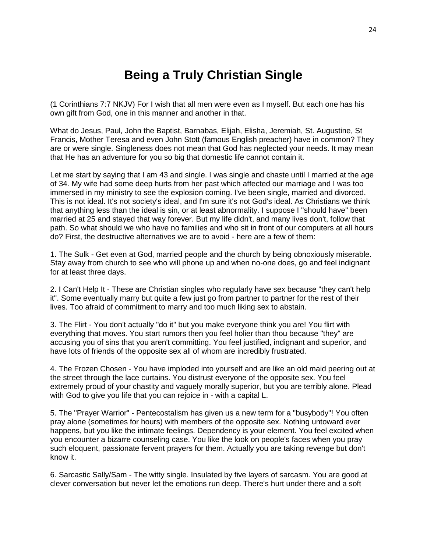# **Being a Truly Christian Single**

(1 Corinthians 7:7 NKJV) For I wish that all men were even as I myself. But each one has his own gift from God, one in this manner and another in that.

What do Jesus, Paul, John the Baptist, Barnabas, Elijah, Elisha, Jeremiah, St. Augustine, St Francis, Mother Teresa and even John Stott (famous English preacher) have in common? They are or were single. Singleness does not mean that God has neglected your needs. It may mean that He has an adventure for you so big that domestic life cannot contain it.

Let me start by saying that I am 43 and single. I was single and chaste until I married at the age of 34. My wife had some deep hurts from her past which affected our marriage and I was too immersed in my ministry to see the explosion coming. I've been single, married and divorced. This is not ideal. It's not society's ideal, and I'm sure it's not God's ideal. As Christians we think that anything less than the ideal is sin, or at least abnormality. I suppose I "should have" been married at 25 and stayed that way forever. But my life didn't, and many lives don't, follow that path. So what should we who have no families and who sit in front of our computers at all hours do? First, the destructive alternatives we are to avoid - here are a few of them:

1. The Sulk - Get even at God, married people and the church by being obnoxiously miserable. Stay away from church to see who will phone up and when no-one does, go and feel indignant for at least three days.

2. I Can't Help It - These are Christian singles who regularly have sex because "they can't help it". Some eventually marry but quite a few just go from partner to partner for the rest of their lives. Too afraid of commitment to marry and too much liking sex to abstain.

3. The Flirt - You don't actually "do it" but you make everyone think you are! You flirt with everything that moves. You start rumors then you feel holier than thou because "they" are accusing you of sins that you aren't committing. You feel justified, indignant and superior, and have lots of friends of the opposite sex all of whom are incredibly frustrated.

4. The Frozen Chosen - You have imploded into yourself and are like an old maid peering out at the street through the lace curtains. You distrust everyone of the opposite sex. You feel extremely proud of your chastity and vaguely morally superior, but you are terribly alone. Plead with God to give you life that you can rejoice in - with a capital L.

5. The "Prayer Warrior" - Pentecostalism has given us a new term for a "busybody"! You often pray alone (sometimes for hours) with members of the opposite sex. Nothing untoward ever happens, but you like the intimate feelings. Dependency is your element. You feel excited when you encounter a bizarre counseling case. You like the look on people's faces when you pray such eloquent, passionate fervent prayers for them. Actually you are taking revenge but don't know it.

6. Sarcastic Sally/Sam - The witty single. Insulated by five layers of sarcasm. You are good at clever conversation but never let the emotions run deep. There's hurt under there and a soft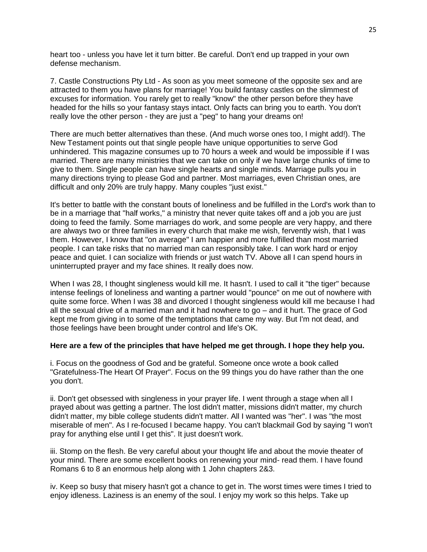heart too - unless you have let it turn bitter. Be careful. Don't end up trapped in your own defense mechanism.

7. Castle Constructions Pty Ltd - As soon as you meet someone of the opposite sex and are attracted to them you have plans for marriage! You build fantasy castles on the slimmest of excuses for information. You rarely get to really "know" the other person before they have headed for the hills so your fantasy stays intact. Only facts can bring you to earth. You don't really love the other person - they are just a "peg" to hang your dreams on!

There are much better alternatives than these. (And much worse ones too, I might add!). The New Testament points out that single people have unique opportunities to serve God unhindered. This magazine consumes up to 70 hours a week and would be impossible if I was married. There are many ministries that we can take on only if we have large chunks of time to give to them. Single people can have single hearts and single minds. Marriage pulls you in many directions trying to please God and partner. Most marriages, even Christian ones, are difficult and only 20% are truly happy. Many couples "just exist."

It's better to battle with the constant bouts of loneliness and be fulfilled in the Lord's work than to be in a marriage that "half works," a ministry that never quite takes off and a job you are just doing to feed the family. Some marriages do work, and some people are very happy, and there are always two or three families in every church that make me wish, fervently wish, that I was them. However, I know that "on average" I am happier and more fulfilled than most married people. I can take risks that no married man can responsibly take. I can work hard or enjoy peace and quiet. I can socialize with friends or just watch TV. Above all I can spend hours in uninterrupted prayer and my face shines. It really does now.

When I was 28, I thought singleness would kill me. It hasn't. I used to call it "the tiger" because intense feelings of loneliness and wanting a partner would "pounce" on me out of nowhere with quite some force. When I was 38 and divorced I thought singleness would kill me because I had all the sexual drive of a married man and it had nowhere to go – and it hurt. The grace of God kept me from giving in to some of the temptations that came my way. But I'm not dead, and those feelings have been brought under control and life's OK.

#### **Here are a few of the principles that have helped me get through. I hope they help you.**

i. Focus on the goodness of God and be grateful. Someone once wrote a book called "Gratefulness-The Heart Of Prayer". Focus on the 99 things you do have rather than the one you don't.

ii. Don't get obsessed with singleness in your prayer life. I went through a stage when all I prayed about was getting a partner. The lost didn't matter, missions didn't matter, my church didn't matter, my bible college students didn't matter. All I wanted was "her". I was "the most miserable of men". As I re-focused I became happy. You can't blackmail God by saying "I won't pray for anything else until I get this". It just doesn't work.

iii. Stomp on the flesh. Be very careful about your thought life and about the movie theater of your mind. There are some excellent books on renewing your mind- read them. I have found Romans 6 to 8 an enormous help along with 1 John chapters 2&3.

iv. Keep so busy that misery hasn't got a chance to get in. The worst times were times I tried to enjoy idleness. Laziness is an enemy of the soul. I enjoy my work so this helps. Take up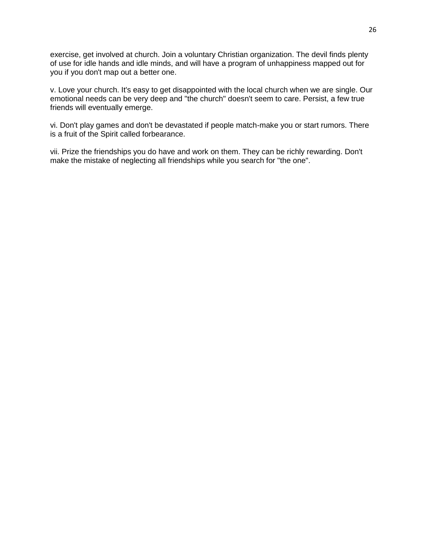exercise, get involved at church. Join a voluntary Christian organization. The devil finds plenty of use for idle hands and idle minds, and will have a program of unhappiness mapped out for you if you don't map out a better one.

v. Love your church. It's easy to get disappointed with the local church when we are single. Our emotional needs can be very deep and "the church" doesn't seem to care. Persist, a few true friends will eventually emerge.

vi. Don't play games and don't be devastated if people match-make you or start rumors. There is a fruit of the Spirit called forbearance.

vii. Prize the friendships you do have and work on them. They can be richly rewarding. Don't make the mistake of neglecting all friendships while you search for "the one".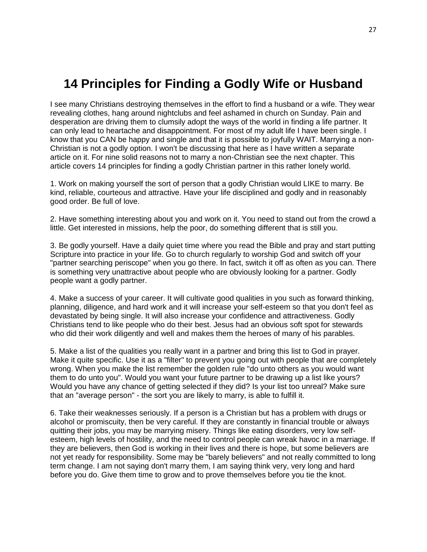# **14 Principles for Finding a Godly Wife or Husband**

I see many Christians destroying themselves in the effort to find a husband or a wife. They wear revealing clothes, hang around nightclubs and feel ashamed in church on Sunday. Pain and desperation are driving them to clumsily adopt the ways of the world in finding a life partner. It can only lead to heartache and disappointment. For most of my adult life I have been single. I know that you CAN be happy and single and that it is possible to joyfully WAIT. Marrying a non-Christian is not a godly option. I won't be discussing that here as I have written a separate article on it. For nine solid reasons not to marry a non-Christian see the next chapter. This article covers 14 principles for finding a godly Christian partner in this rather lonely world.

1. Work on making yourself the sort of person that a godly Christian would LIKE to marry. Be kind, reliable, courteous and attractive. Have your life disciplined and godly and in reasonably good order. Be full of love.

2. Have something interesting about you and work on it. You need to stand out from the crowd a little. Get interested in missions, help the poor, do something different that is still you.

3. Be godly yourself. Have a daily quiet time where you read the Bible and pray and start putting Scripture into practice in your life. Go to church regularly to worship God and switch off your "partner searching periscope" when you go there. In fact, switch it off as often as you can. There is something very unattractive about people who are obviously looking for a partner. Godly people want a godly partner.

4. Make a success of your career. It will cultivate good qualities in you such as forward thinking, planning, diligence, and hard work and it will increase your self-esteem so that you don't feel as devastated by being single. It will also increase your confidence and attractiveness. Godly Christians tend to like people who do their best. Jesus had an obvious soft spot for stewards who did their work diligently and well and makes them the heroes of many of his parables.

5. Make a list of the qualities you really want in a partner and bring this list to God in prayer. Make it quite specific. Use it as a "filter" to prevent you going out with people that are completely wrong. When you make the list remember the golden rule "do unto others as you would want them to do unto you". Would you want your future partner to be drawing up a list like yours? Would you have any chance of getting selected if they did? Is your list too unreal? Make sure that an "average person" - the sort you are likely to marry, is able to fulfill it.

6. Take their weaknesses seriously. If a person is a Christian but has a problem with drugs or alcohol or promiscuity, then be very careful. If they are constantly in financial trouble or always quitting their jobs, you may be marrying misery. Things like eating disorders, very low selfesteem, high levels of hostility, and the need to control people can wreak havoc in a marriage. If they are believers, then God is working in their lives and there is hope, but some believers are not yet ready for responsibility. Some may be "barely believers" and not really committed to long term change. I am not saying don't marry them, I am saying think very, very long and hard before you do. Give them time to grow and to prove themselves before you tie the knot.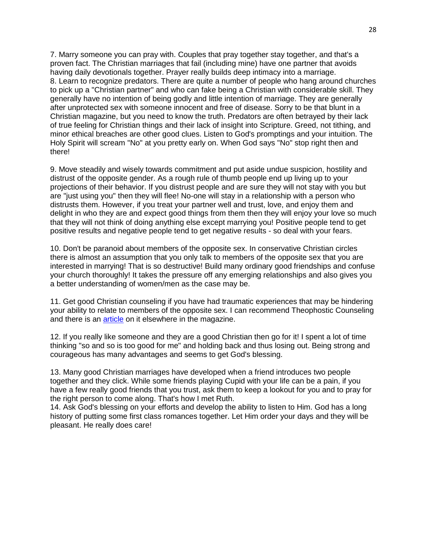7. Marry someone you can pray with. Couples that pray together stay together, and that's a proven fact. The Christian marriages that fail (including mine) have one partner that avoids having daily devotionals together. Prayer really builds deep intimacy into a marriage. 8. Learn to recognize predators. There are quite a number of people who hang around churches to pick up a "Christian partner" and who can fake being a Christian with considerable skill. They generally have no intention of being godly and little intention of marriage. They are generally after unprotected sex with someone innocent and free of disease. Sorry to be that blunt in a Christian magazine, but you need to know the truth. Predators are often betrayed by their lack of true feeling for Christian things and their lack of insight into Scripture. Greed, not tithing, and minor ethical breaches are other good clues. Listen to God's promptings and your intuition. The Holy Spirit will scream "No" at you pretty early on. When God says "No" stop right then and there!

9. Move steadily and wisely towards commitment and put aside undue suspicion, hostility and distrust of the opposite gender. As a rough rule of thumb people end up living up to your projections of their behavior. If you distrust people and are sure they will not stay with you but are "just using you" then they will flee! No-one will stay in a relationship with a person who distrusts them. However, if you treat your partner well and trust, love, and enjoy them and delight in who they are and expect good things from them then they will enjoy your love so much that they will not think of doing anything else except marrying you! Positive people tend to get positive results and negative people tend to get negative results - so deal with your fears.

10. Don't be paranoid about members of the opposite sex. In conservative Christian circles there is almost an assumption that you only talk to members of the opposite sex that you are interested in marrying! That is so destructive! Build many ordinary good friendships and confuse your church thoroughly! It takes the pressure off any emerging relationships and also gives you a better understanding of women/men as the case may be.

11. Get good Christian counseling if you have had traumatic experiences that may be hindering your ability to relate to members of the opposite sex. I can recommend Theophostic Counseling and there is an [article](https://www.globalchristians.org/articles/phostic.htm) on it elsewhere in the magazine.

12. If you really like someone and they are a good Christian then go for it! I spent a lot of time thinking "so and so is too good for me" and holding back and thus losing out. Being strong and courageous has many advantages and seems to get God's blessing.

13. Many good Christian marriages have developed when a friend introduces two people together and they click. While some friends playing Cupid with your life can be a pain, if you have a few really good friends that you trust, ask them to keep a lookout for you and to pray for the right person to come along. That's how I met Ruth.

14. Ask God's blessing on your efforts and develop the ability to listen to Him. God has a long history of putting some first class romances together. Let Him order your days and they will be pleasant. He really does care!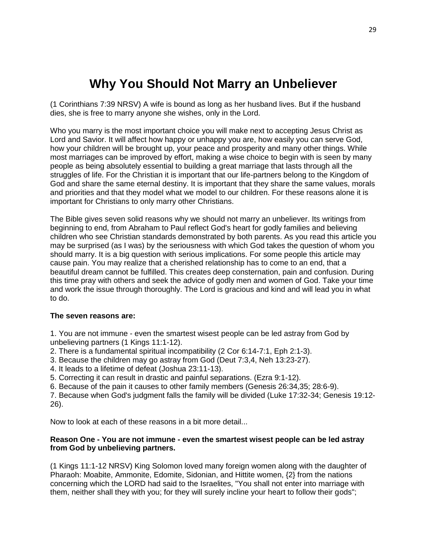# **Why You Should Not Marry an Unbeliever**

(1 Corinthians 7:39 NRSV) A wife is bound as long as her husband lives. But if the husband dies, she is free to marry anyone she wishes, only in the Lord.

Who you marry is the most important choice you will make next to accepting Jesus Christ as Lord and Savior. It will affect how happy or unhappy you are, how easily you can serve God, how your children will be brought up, your peace and prosperity and many other things. While most marriages can be improved by effort, making a wise choice to begin with is seen by many people as being absolutely essential to building a great marriage that lasts through all the struggles of life. For the Christian it is important that our life-partners belong to the Kingdom of God and share the same eternal destiny. It is important that they share the same values, morals and priorities and that they model what we model to our children. For these reasons alone it is important for Christians to only marry other Christians.

The Bible gives seven solid reasons why we should not marry an unbeliever. Its writings from beginning to end, from Abraham to Paul reflect God's heart for godly families and believing children who see Christian standards demonstrated by both parents. As you read this article you may be surprised (as I was) by the seriousness with which God takes the question of whom you should marry. It is a big question with serious implications. For some people this article may cause pain. You may realize that a cherished relationship has to come to an end, that a beautiful dream cannot be fulfilled. This creates deep consternation, pain and confusion. During this time pray with others and seek the advice of godly men and women of God. Take your time and work the issue through thoroughly. The Lord is gracious and kind and will lead you in what to do.

## **The seven reasons are:**

- 1. You are not immune even the smartest wisest people can be led astray from God by unbelieving partners (1 Kings 11:1-12).
- 2. There is a fundamental spiritual incompatibility (2 Cor 6:14-7:1, Eph 2:1-3).
- 3. Because the children may go astray from God (Deut 7:3,4, Neh 13:23-27).
- 4. It leads to a lifetime of defeat (Joshua 23:11-13).
- 5. Correcting it can result in drastic and painful separations. (Ezra 9:1-12).
- 6. Because of the pain it causes to other family members (Genesis 26:34,35; 28:6-9).

7. Because when God's judgment falls the family will be divided (Luke 17:32-34; Genesis 19:12- 26).

Now to look at each of these reasons in a bit more detail...

#### **Reason One - You are not immune - even the smartest wisest people can be led astray from God by unbelieving partners.**

(1 Kings 11:1-12 NRSV) King Solomon loved many foreign women along with the daughter of Pharaoh: Moabite, Ammonite, Edomite, Sidonian, and Hittite women, {2} from the nations concerning which the LORD had said to the Israelites, "You shall not enter into marriage with them, neither shall they with you; for they will surely incline your heart to follow their gods";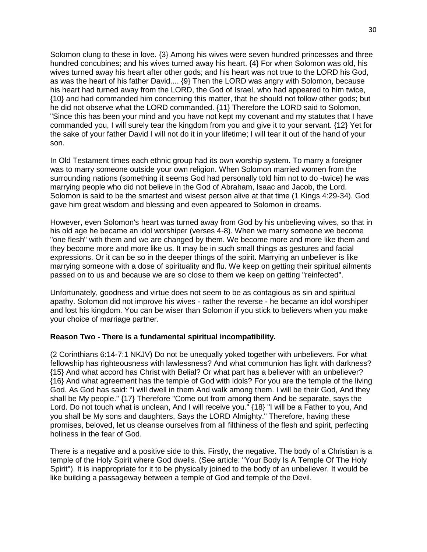Solomon clung to these in love. {3} Among his wives were seven hundred princesses and three hundred concubines; and his wives turned away his heart. {4} For when Solomon was old, his wives turned away his heart after other gods; and his heart was not true to the LORD his God, as was the heart of his father David.... {9} Then the LORD was angry with Solomon, because his heart had turned away from the LORD, the God of Israel, who had appeared to him twice, {10} and had commanded him concerning this matter, that he should not follow other gods; but he did not observe what the LORD commanded. {11} Therefore the LORD said to Solomon, "Since this has been your mind and you have not kept my covenant and my statutes that I have commanded you, I will surely tear the kingdom from you and give it to your servant. {12} Yet for the sake of your father David I will not do it in your lifetime; I will tear it out of the hand of your son.

In Old Testament times each ethnic group had its own worship system. To marry a foreigner was to marry someone outside your own religion. When Solomon married women from the surrounding nations (something it seems God had personally told him not to do -twice) he was marrying people who did not believe in the God of Abraham, Isaac and Jacob, the Lord. Solomon is said to be the smartest and wisest person alive at that time (1 Kings 4:29-34). God gave him great wisdom and blessing and even appeared to Solomon in dreams.

However, even Solomon's heart was turned away from God by his unbelieving wives, so that in his old age he became an idol worshiper (verses 4-8). When we marry someone we become "one flesh" with them and we are changed by them. We become more and more like them and they become more and more like us. It may be in such small things as gestures and facial expressions. Or it can be so in the deeper things of the spirit. Marrying an unbeliever is like marrying someone with a dose of spirituality and flu. We keep on getting their spiritual ailments passed on to us and because we are so close to them we keep on getting "reinfected".

Unfortunately, goodness and virtue does not seem to be as contagious as sin and spiritual apathy. Solomon did not improve his wives - rather the reverse - he became an idol worshiper and lost his kingdom. You can be wiser than Solomon if you stick to believers when you make your choice of marriage partner.

#### **Reason Two - There is a fundamental spiritual incompatibility.**

(2 Corinthians 6:14-7:1 NKJV) Do not be unequally yoked together with unbelievers. For what fellowship has righteousness with lawlessness? And what communion has light with darkness? {15} And what accord has Christ with Belial? Or what part has a believer with an unbeliever? {16} And what agreement has the temple of God with idols? For you are the temple of the living God. As God has said: "I will dwell in them And walk among them. I will be their God, And they shall be My people." {17} Therefore "Come out from among them And be separate, says the Lord. Do not touch what is unclean, And I will receive you." {18} "I will be a Father to you, And you shall be My sons and daughters, Says the LORD Almighty." Therefore, having these promises, beloved, let us cleanse ourselves from all filthiness of the flesh and spirit, perfecting holiness in the fear of God.

There is a negative and a positive side to this. Firstly, the negative. The body of a Christian is a temple of the Holy Spirit where God dwells. (See article: "Your Body Is A Temple Of The Holy Spirit"). It is inappropriate for it to be physically joined to the body of an unbeliever. It would be like building a passageway between a temple of God and temple of the Devil.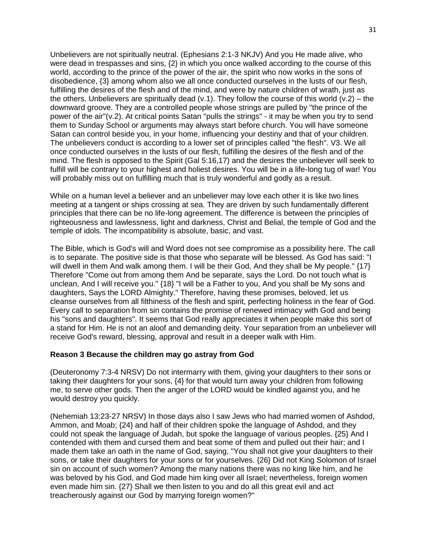Unbelievers are not spiritually neutral. (Ephesians 2:1-3 NKJV) And you He made alive, who were dead in trespasses and sins, {2} in which you once walked according to the course of this world, according to the prince of the power of the air, the spirit who now works in the sons of disobedience, {3} among whom also we all once conducted ourselves in the lusts of our flesh, fulfilling the desires of the flesh and of the mind, and were by nature children of wrath, just as the others. Unbelievers are spiritually dead (v.1). They follow the course of this world (v.2) – the downward groove. They are a controlled people whose strings are pulled by "the prince of the power of the air"(v.2). At critical points Satan "pulls the strings" - it may be when you try to send them to Sunday School or arguments may always start before church. You will have someone Satan can control beside you, in your home, influencing your destiny and that of your children. The unbelievers conduct is according to a lower set of principles called "the flesh". V3. We all once conducted ourselves in the lusts of our flesh, fulfilling the desires of the flesh and of the mind. The flesh is opposed to the Spirit (Gal 5:16,17) and the desires the unbeliever will seek to fulfill will be contrary to your highest and holiest desires. You will be in a life-long tug of war! You will probably miss out on fulfilling much that is truly wonderful and godly as a result.

While on a human level a believer and an unbeliever may love each other it is like two lines meeting at a tangent or ships crossing at sea. They are driven by such fundamentally different principles that there can be no life-long agreement. The difference is between the principles of righteousness and lawlessness, light and darkness, Christ and Belial, the temple of God and the temple of idols. The incompatibility is absolute, basic, and vast.

The Bible, which is God's will and Word does not see compromise as a possibility here. The call is to separate. The positive side is that those who separate will be blessed. As God has said: "I will dwell in them And walk among them. I will be their God, And they shall be My people." {17} Therefore "Come out from among them And be separate, says the Lord. Do not touch what is unclean, And I will receive you." {18} "I will be a Father to you, And you shall be My sons and daughters, Says the LORD Almighty." Therefore, having these promises, beloved, let us cleanse ourselves from all filthiness of the flesh and spirit, perfecting holiness in the fear of God. Every call to separation from sin contains the promise of renewed intimacy with God and being his "sons and daughters". It seems that God really appreciates it when people make this sort of a stand for Him. He is not an aloof and demanding deity. Your separation from an unbeliever will receive God's reward, blessing, approval and result in a deeper walk with Him.

#### **Reason 3 Because the children may go astray from God**

(Deuteronomy 7:3-4 NRSV) Do not intermarry with them, giving your daughters to their sons or taking their daughters for your sons, {4} for that would turn away your children from following me, to serve other gods. Then the anger of the LORD would be kindled against you, and he would destroy you quickly.

(Nehemiah 13:23-27 NRSV) In those days also I saw Jews who had married women of Ashdod, Ammon, and Moab; {24} and half of their children spoke the language of Ashdod, and they could not speak the language of Judah, but spoke the language of various peoples. {25} And I contended with them and cursed them and beat some of them and pulled out their hair; and I made them take an oath in the name of God, saying, "You shall not give your daughters to their sons, or take their daughters for your sons or for yourselves. {26} Did not King Solomon of Israel sin on account of such women? Among the many nations there was no king like him, and he was beloved by his God, and God made him king over all Israel; nevertheless, foreign women even made him sin. {27} Shall we then listen to you and do all this great evil and act treacherously against our God by marrying foreign women?"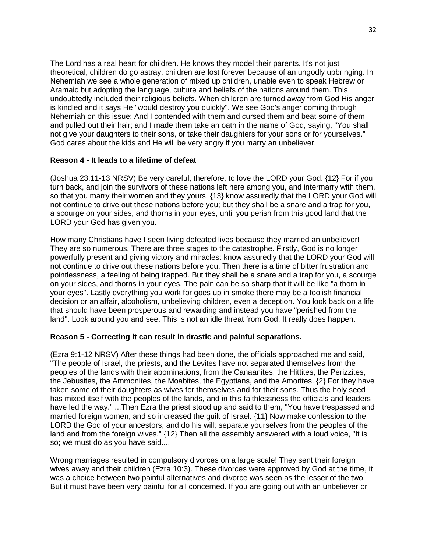The Lord has a real heart for children. He knows they model their parents. It's not just theoretical, children do go astray, children are lost forever because of an ungodly upbringing. In Nehemiah we see a whole generation of mixed up children, unable even to speak Hebrew or Aramaic but adopting the language, culture and beliefs of the nations around them. This undoubtedly included their religious beliefs. When children are turned away from God His anger is kindled and it says He "would destroy you quickly". We see God's anger coming through Nehemiah on this issue: And I contended with them and cursed them and beat some of them and pulled out their hair; and I made them take an oath in the name of God, saying, "You shall not give your daughters to their sons, or take their daughters for your sons or for yourselves." God cares about the kids and He will be very angry if you marry an unbeliever.

## **Reason 4 - It leads to a lifetime of defeat**

(Joshua 23:11-13 NRSV) Be very careful, therefore, to love the LORD your God. {12} For if you turn back, and join the survivors of these nations left here among you, and intermarry with them, so that you marry their women and they yours, {13} know assuredly that the LORD your God will not continue to drive out these nations before you; but they shall be a snare and a trap for you, a scourge on your sides, and thorns in your eyes, until you perish from this good land that the LORD your God has given you.

How many Christians have I seen living defeated lives because they married an unbeliever! They are so numerous. There are three stages to the catastrophe. Firstly, God is no longer powerfully present and giving victory and miracles: know assuredly that the LORD your God will not continue to drive out these nations before you. Then there is a time of bitter frustration and pointlessness, a feeling of being trapped. But they shall be a snare and a trap for you, a scourge on your sides, and thorns in your eyes. The pain can be so sharp that it will be like "a thorn in your eyes". Lastly everything you work for goes up in smoke there may be a foolish financial decision or an affair, alcoholism, unbelieving children, even a deception. You look back on a life that should have been prosperous and rewarding and instead you have "perished from the land". Look around you and see. This is not an idle threat from God. It really does happen.

#### **Reason 5 - Correcting it can result in drastic and painful separations.**

(Ezra 9:1-12 NRSV) After these things had been done, the officials approached me and said, "The people of Israel, the priests, and the Levites have not separated themselves from the peoples of the lands with their abominations, from the Canaanites, the Hittites, the Perizzites, the Jebusites, the Ammonites, the Moabites, the Egyptians, and the Amorites. {2} For they have taken some of their daughters as wives for themselves and for their sons. Thus the holy seed has mixed itself with the peoples of the lands, and in this faithlessness the officials and leaders have led the way." ...Then Ezra the priest stood up and said to them, "You have trespassed and married foreign women, and so increased the guilt of Israel. {11} Now make confession to the LORD the God of your ancestors, and do his will; separate yourselves from the peoples of the land and from the foreign wives." {12} Then all the assembly answered with a loud voice, "It is so; we must do as you have said....

Wrong marriages resulted in compulsory divorces on a large scale! They sent their foreign wives away and their children (Ezra 10:3). These divorces were approved by God at the time, it was a choice between two painful alternatives and divorce was seen as the lesser of the two. But it must have been very painful for all concerned. If you are going out with an unbeliever or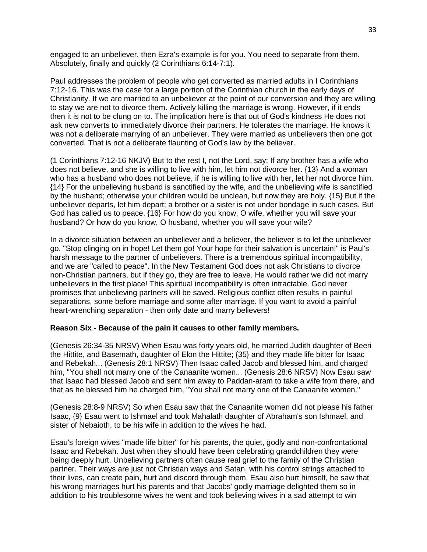engaged to an unbeliever, then Ezra's example is for you. You need to separate from them. Absolutely, finally and quickly (2 Corinthians 6:14-7:1).

Paul addresses the problem of people who get converted as married adults in I Corinthians 7:12-16. This was the case for a large portion of the Corinthian church in the early days of Christianity. If we are married to an unbeliever at the point of our conversion and they are willing to stay we are not to divorce them. Actively killing the marriage is wrong. However, if it ends then it is not to be clung on to. The implication here is that out of God's kindness He does not ask new converts to immediately divorce their partners. He tolerates the marriage. He knows it was not a deliberate marrying of an unbeliever. They were married as unbelievers then one got converted. That is not a deliberate flaunting of God's law by the believer.

(1 Corinthians 7:12-16 NKJV) But to the rest I, not the Lord, say: If any brother has a wife who does not believe, and she is willing to live with him, let him not divorce her. {13} And a woman who has a husband who does not believe, if he is willing to live with her, let her not divorce him. {14} For the unbelieving husband is sanctified by the wife, and the unbelieving wife is sanctified by the husband; otherwise your children would be unclean, but now they are holy. {15} But if the unbeliever departs, let him depart; a brother or a sister is not under bondage in such cases. But God has called us to peace. {16} For how do you know, O wife, whether you will save your husband? Or how do you know, O husband, whether you will save your wife?

In a divorce situation between an unbeliever and a believer, the believer is to let the unbeliever go. "Stop clinging on in hope! Let them go! Your hope for their salvation is uncertain!" is Paul's harsh message to the partner of unbelievers. There is a tremendous spiritual incompatibility, and we are "called to peace". In the New Testament God does not ask Christians to divorce non-Christian partners, but if they go, they are free to leave. He would rather we did not marry unbelievers in the first place! This spiritual incompatibility is often intractable. God never promises that unbelieving partners will be saved. Religious conflict often results in painful separations, some before marriage and some after marriage. If you want to avoid a painful heart-wrenching separation - then only date and marry believers!

#### **Reason Six - Because of the pain it causes to other family members.**

(Genesis 26:34-35 NRSV) When Esau was forty years old, he married Judith daughter of Beeri the Hittite, and Basemath, daughter of Elon the Hittite; {35} and they made life bitter for Isaac and Rebekah... (Genesis 28:1 NRSV) Then Isaac called Jacob and blessed him, and charged him, "You shall not marry one of the Canaanite women... (Genesis 28:6 NRSV) Now Esau saw that Isaac had blessed Jacob and sent him away to Paddan-aram to take a wife from there, and that as he blessed him he charged him, "You shall not marry one of the Canaanite women."

(Genesis 28:8-9 NRSV) So when Esau saw that the Canaanite women did not please his father Isaac, {9} Esau went to Ishmael and took Mahalath daughter of Abraham's son Ishmael, and sister of Nebaioth, to be his wife in addition to the wives he had.

Esau's foreign wives "made life bitter" for his parents, the quiet, godly and non-confrontational Isaac and Rebekah. Just when they should have been celebrating grandchildren they were being deeply hurt. Unbelieving partners often cause real grief to the family of the Christian partner. Their ways are just not Christian ways and Satan, with his control strings attached to their lives, can create pain, hurt and discord through them. Esau also hurt himself, he saw that his wrong marriages hurt his parents and that Jacobs' godly marriage delighted them so in addition to his troublesome wives he went and took believing wives in a sad attempt to win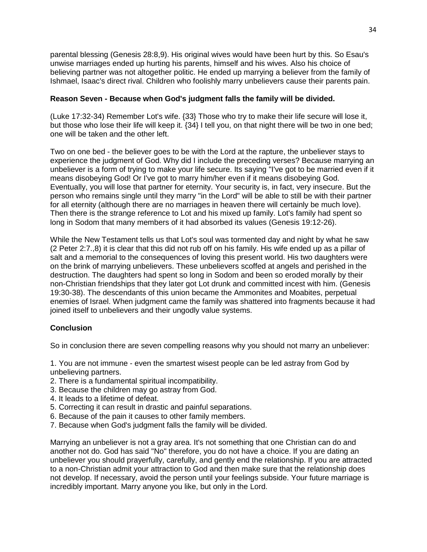parental blessing (Genesis 28:8,9). His original wives would have been hurt by this. So Esau's unwise marriages ended up hurting his parents, himself and his wives. Also his choice of believing partner was not altogether politic. He ended up marrying a believer from the family of Ishmael, Isaac's direct rival. Children who foolishly marry unbelievers cause their parents pain.

## **Reason Seven - Because when God's judgment falls the family will be divided.**

(Luke 17:32-34) Remember Lot's wife. {33} Those who try to make their life secure will lose it, but those who lose their life will keep it. {34} I tell you, on that night there will be two in one bed; one will be taken and the other left.

Two on one bed - the believer goes to be with the Lord at the rapture, the unbeliever stays to experience the judgment of God. Why did I include the preceding verses? Because marrying an unbeliever is a form of trying to make your life secure. Its saying "I've got to be married even if it means disobeying God! Or I've got to marry him/her even if it means disobeying God. Eventually, you will lose that partner for eternity. Your security is, in fact, very insecure. But the person who remains single until they marry "in the Lord" will be able to still be with their partner for all eternity (although there are no marriages in heaven there will certainly be much love). Then there is the strange reference to Lot and his mixed up family. Lot's family had spent so long in Sodom that many members of it had absorbed its values (Genesis 19:12-26).

While the New Testament tells us that Lot's soul was tormented day and night by what he saw (2 Peter 2:7.,8) it is clear that this did not rub off on his family. His wife ended up as a pillar of salt and a memorial to the consequences of loving this present world. His two daughters were on the brink of marrying unbelievers. These unbelievers scoffed at angels and perished in the destruction. The daughters had spent so long in Sodom and been so eroded morally by their non-Christian friendships that they later got Lot drunk and committed incest with him. (Genesis 19:30-38). The descendants of this union became the Ammonites and Moabites, perpetual enemies of Israel. When judgment came the family was shattered into fragments because it had joined itself to unbelievers and their ungodly value systems.

# **Conclusion**

So in conclusion there are seven compelling reasons why you should not marry an unbeliever:

1. You are not immune - even the smartest wisest people can be led astray from God by unbelieving partners.

- 2. There is a fundamental spiritual incompatibility.
- 3. Because the children may go astray from God.
- 4. It leads to a lifetime of defeat.
- 5. Correcting it can result in drastic and painful separations.
- 6. Because of the pain it causes to other family members.
- 7. Because when God's judgment falls the family will be divided.

Marrying an unbeliever is not a gray area. It's not something that one Christian can do and another not do. God has said "No" therefore, you do not have a choice. If you are dating an unbeliever you should prayerfully, carefully, and gently end the relationship. If you are attracted to a non-Christian admit your attraction to God and then make sure that the relationship does not develop. If necessary, avoid the person until your feelings subside. Your future marriage is incredibly important. Marry anyone you like, but only in the Lord.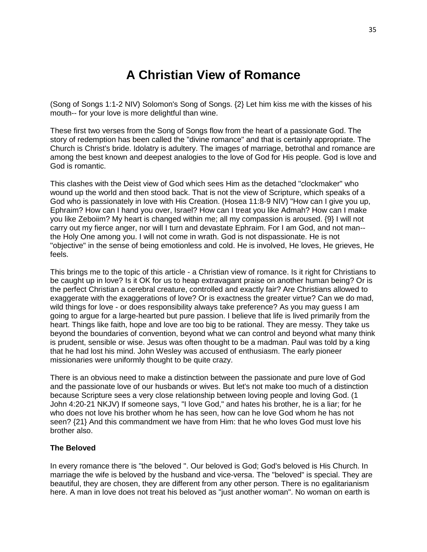# **A Christian View of Romance**

(Song of Songs 1:1-2 NIV) Solomon's Song of Songs. {2} Let him kiss me with the kisses of his mouth-- for your love is more delightful than wine.

These first two verses from the Song of Songs flow from the heart of a passionate God. The story of redemption has been called the "divine romance" and that is certainly appropriate. The Church is Christ's bride. Idolatry is adultery. The images of marriage, betrothal and romance are among the best known and deepest analogies to the love of God for His people. God is love and God is romantic.

This clashes with the Deist view of God which sees Him as the detached "clockmaker" who wound up the world and then stood back. That is not the view of Scripture, which speaks of a God who is passionately in love with His Creation. (Hosea 11:8-9 NIV) "How can I give you up, Ephraim? How can I hand you over, Israel? How can I treat you like Admah? How can I make you like Zeboiim? My heart is changed within me; all my compassion is aroused. {9} I will not carry out my fierce anger, nor will I turn and devastate Ephraim. For I am God, and not man- the Holy One among you. I will not come in wrath. God is not dispassionate. He is not "objective" in the sense of being emotionless and cold. He is involved, He loves, He grieves, He feels.

This brings me to the topic of this article - a Christian view of romance. Is it right for Christians to be caught up in love? Is it OK for us to heap extravagant praise on another human being? Or is the perfect Christian a cerebral creature, controlled and exactly fair? Are Christians allowed to exaggerate with the exaggerations of love? Or is exactness the greater virtue? Can we do mad, wild things for love - or does responsibility always take preference? As you may guess I am going to argue for a large-hearted but pure passion. I believe that life is lived primarily from the heart. Things like faith, hope and love are too big to be rational. They are messy. They take us beyond the boundaries of convention, beyond what we can control and beyond what many think is prudent, sensible or wise. Jesus was often thought to be a madman. Paul was told by a king that he had lost his mind. John Wesley was accused of enthusiasm. The early pioneer missionaries were uniformly thought to be quite crazy.

There is an obvious need to make a distinction between the passionate and pure love of God and the passionate love of our husbands or wives. But let's not make too much of a distinction because Scripture sees a very close relationship between loving people and loving God. (1 John 4:20-21 NKJV) If someone says, "I love God," and hates his brother, he is a liar; for he who does not love his brother whom he has seen, how can he love God whom he has not seen? {21} And this commandment we have from Him: that he who loves God must love his brother also.

#### **The Beloved**

In every romance there is "the beloved ''. Our beloved is God; God's beloved is His Church. In marriage the wife is beloved by the husband and vice-versa. The "beloved" is special. They are beautiful, they are chosen, they are different from any other person. There is no egalitarianism here. A man in love does not treat his beloved as "just another woman". No woman on earth is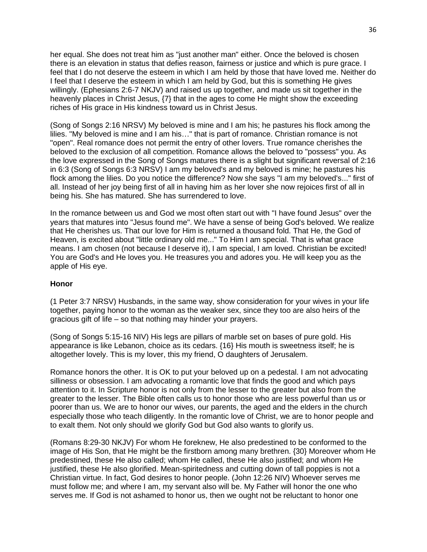her equal. She does not treat him as "just another man" either. Once the beloved is chosen there is an elevation in status that defies reason, fairness or justice and which is pure grace. I feel that I do not deserve the esteem in which I am held by those that have loved me. Neither do I feel that I deserve the esteem in which I am held by God, but this is something He gives willingly. (Ephesians 2:6-7 NKJV) and raised us up together, and made us sit together in the heavenly places in Christ Jesus, {7} that in the ages to come He might show the exceeding riches of His grace in His kindness toward us in Christ Jesus.

(Song of Songs 2:16 NRSV) My beloved is mine and I am his; he pastures his flock among the lilies. "My beloved is mine and I am his…" that is part of romance. Christian romance is not "open". Real romance does not permit the entry of other lovers. True romance cherishes the beloved to the exclusion of all competition. Romance allows the beloved to "possess" you. As the love expressed in the Song of Songs matures there is a slight but significant reversal of 2:16 in 6:3 (Song of Songs 6:3 NRSV) I am my beloved's and my beloved is mine; he pastures his flock among the lilies. Do you notice the difference? Now she says "I am my beloved's..." first of all. Instead of her joy being first of all in having him as her lover she now rejoices first of all in being his. She has matured. She has surrendered to love.

In the romance between us and God we most often start out with "I have found Jesus" over the years that matures into "Jesus found me". We have a sense of being God's beloved. We realize that He cherishes us. That our love for Him is returned a thousand fold. That He, the God of Heaven, is excited about "little ordinary old me..." To Him I am special. That is what grace means. I am chosen (not because I deserve it), I am special, I am loved. Christian be excited! You are God's and He loves you. He treasures you and adores you. He will keep you as the apple of His eye.

#### **Honor**

(1 Peter 3:7 NRSV) Husbands, in the same way, show consideration for your wives in your life together, paying honor to the woman as the weaker sex, since they too are also heirs of the gracious gift of life – so that nothing may hinder your prayers.

(Song of Songs 5:15-16 NIV) His legs are pillars of marble set on bases of pure gold. His appearance is like Lebanon, choice as its cedars. {16} His mouth is sweetness itself; he is altogether lovely. This is my lover, this my friend, O daughters of Jerusalem.

Romance honors the other. It is OK to put your beloved up on a pedestal. I am not advocating silliness or obsession. I am advocating a romantic love that finds the good and which pays attention to it. In Scripture honor is not only from the lesser to the greater but also from the greater to the lesser. The Bible often calls us to honor those who are less powerful than us or poorer than us. We are to honor our wives, our parents, the aged and the elders in the church especially those who teach diligently. In the romantic love of Christ, we are to honor people and to exalt them. Not only should we glorify God but God also wants to glorify us.

(Romans 8:29-30 NKJV) For whom He foreknew, He also predestined to be conformed to the image of His Son, that He might be the firstborn among many brethren. {30} Moreover whom He predestined, these He also called; whom He called, these He also justified; and whom He justified, these He also glorified. Mean-spiritedness and cutting down of tall poppies is not a Christian virtue. In fact, God desires to honor people. (John 12:26 NIV) Whoever serves me must follow me; and where I am, my servant also will be. My Father will honor the one who serves me. If God is not ashamed to honor us, then we ought not be reluctant to honor one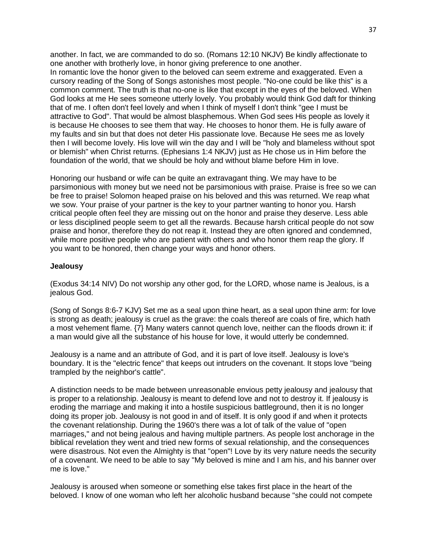another. In fact, we are commanded to do so. (Romans 12:10 NKJV) Be kindly affectionate to one another with brotherly love, in honor giving preference to one another. In romantic love the honor given to the beloved can seem extreme and exaggerated. Even a cursory reading of the Song of Songs astonishes most people. "No-one could be like this" is a common comment. The truth is that no-one is like that except in the eyes of the beloved. When God looks at me He sees someone utterly lovely. You probably would think God daft for thinking that of me. I often don't feel lovely and when I think of myself I don't think "gee I must be attractive to God". That would be almost blasphemous. When God sees His people as lovely it is because He chooses to see them that way. He chooses to honor them. He is fully aware of my faults and sin but that does not deter His passionate love. Because He sees me as lovely then I will become lovely. His love will win the day and I will be "holy and blameless without spot or blemish" when Christ returns. (Ephesians 1:4 NKJV) just as He chose us in Him before the foundation of the world, that we should be holy and without blame before Him in love.

Honoring our husband or wife can be quite an extravagant thing. We may have to be parsimonious with money but we need not be parsimonious with praise. Praise is free so we can be free to praise! Solomon heaped praise on his beloved and this was returned. We reap what we sow. Your praise of your partner is the key to your partner wanting to honor you. Harsh critical people often feel they are missing out on the honor and praise they deserve. Less able or less disciplined people seem to get all the rewards. Because harsh critical people do not sow praise and honor, therefore they do not reap it. Instead they are often ignored and condemned, while more positive people who are patient with others and who honor them reap the glory. If you want to be honored, then change your ways and honor others.

#### **Jealousy**

(Exodus 34:14 NIV) Do not worship any other god, for the LORD, whose name is Jealous, is a jealous God.

(Song of Songs 8:6-7 KJV) Set me as a seal upon thine heart, as a seal upon thine arm: for love is strong as death; jealousy is cruel as the grave: the coals thereof are coals of fire, which hath a most vehement flame. {7} Many waters cannot quench love, neither can the floods drown it: if a man would give all the substance of his house for love, it would utterly be condemned.

Jealousy is a name and an attribute of God, and it is part of love itself. Jealousy is love's boundary. It is the "electric fence" that keeps out intruders on the covenant. It stops love "being trampled by the neighbor's cattle".

A distinction needs to be made between unreasonable envious petty jealousy and jealousy that is proper to a relationship. Jealousy is meant to defend love and not to destroy it. If jealousy is eroding the marriage and making it into a hostile suspicious battleground, then it is no longer doing its proper job. Jealousy is not good in and of itself. It is only good if and when it protects the covenant relationship. During the 1960's there was a lot of talk of the value of "open marriages," and not being jealous and having multiple partners. As people lost anchorage in the biblical revelation they went and tried new forms of sexual relationship, and the consequences were disastrous. Not even the Almighty is that "open"! Love by its very nature needs the security of a covenant. We need to be able to say "My beloved is mine and I am his, and his banner over me is love."

Jealousy is aroused when someone or something else takes first place in the heart of the beloved. I know of one woman who left her alcoholic husband because "she could not compete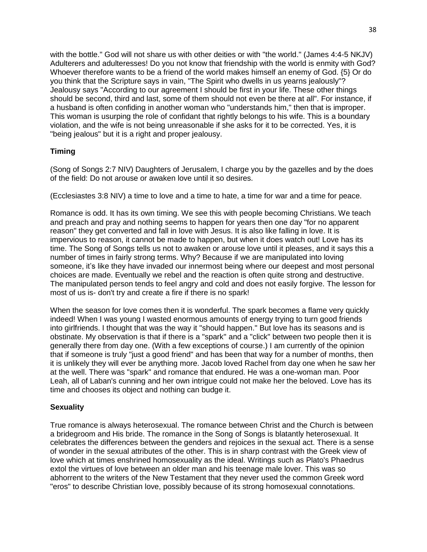with the bottle." God will not share us with other deities or with "the world." (James 4:4-5 NKJV) Adulterers and adulteresses! Do you not know that friendship with the world is enmity with God? Whoever therefore wants to be a friend of the world makes himself an enemy of God.  $\{5\}$  Or do you think that the Scripture says in vain, "The Spirit who dwells in us yearns jealously"? Jealousy says "According to our agreement I should be first in your life. These other things should be second, third and last, some of them should not even be there at all". For instance, if a husband is often confiding in another woman who "understands him," then that is improper. This woman is usurping the role of confidant that rightly belongs to his wife. This is a boundary violation, and the wife is not being unreasonable if she asks for it to be corrected. Yes, it is "being jealous" but it is a right and proper jealousy.

# **Timing**

(Song of Songs 2:7 NIV) Daughters of Jerusalem, I charge you by the gazelles and by the does of the field: Do not arouse or awaken love until it so desires.

(Ecclesiastes 3:8 NIV) a time to love and a time to hate, a time for war and a time for peace.

Romance is odd. It has its own timing. We see this with people becoming Christians. We teach and preach and pray and nothing seems to happen for years then one day "for no apparent reason" they get converted and fall in love with Jesus. It is also like falling in love. It is impervious to reason, it cannot be made to happen, but when it does watch out! Love has its time. The Song of Songs tells us not to awaken or arouse love until it pleases, and it says this a number of times in fairly strong terms. Why? Because if we are manipulated into loving someone, it's like they have invaded our innermost being where our deepest and most personal choices are made. Eventually we rebel and the reaction is often quite strong and destructive. The manipulated person tends to feel angry and cold and does not easily forgive. The lesson for most of us is- don't try and create a fire if there is no spark!

When the season for love comes then it is wonderful. The spark becomes a flame very quickly indeed! When I was young I wasted enormous amounts of energy trying to turn good friends into girlfriends. I thought that was the way it "should happen." But love has its seasons and is obstinate. My observation is that if there is a "spark'' and a "click" between two people then it is generally there from day one. (With a few exceptions of course.) I am currently of the opinion that if someone is truly "just a good friend" and has been that way for a number of months, then it is unlikely they will ever be anything more. Jacob loved Rachel from day one when he saw her at the well. There was "spark" and romance that endured. He was a one-woman man. Poor Leah, all of Laban's cunning and her own intrigue could not make her the beloved. Love has its time and chooses its object and nothing can budge it.

# **Sexuality**

True romance is always heterosexual. The romance between Christ and the Church is between a bridegroom and His bride. The romance in the Song of Songs is blatantly heterosexual. It celebrates the differences between the genders and rejoices in the sexual act. There is a sense of wonder in the sexual attributes of the other. This is in sharp contrast with the Greek view of love which at times enshrined homosexuality as the ideal. Writings such as Plato's Phaedrus extol the virtues of love between an older man and his teenage male lover. This was so abhorrent to the writers of the New Testament that they never used the common Greek word "eros" to describe Christian love, possibly because of its strong homosexual connotations.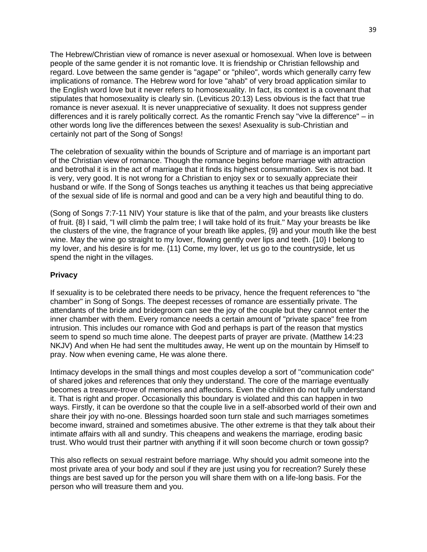The Hebrew/Christian view of romance is never asexual or homosexual. When love is between people of the same gender it is not romantic love. It is friendship or Christian fellowship and regard. Love between the same gender is "agape" or "phileo", words which generally carry few implications of romance. The Hebrew word for love "ahab" of very broad application similar to the English word love but it never refers to homosexuality. In fact, its context is a covenant that stipulates that homosexuality is clearly sin. (Leviticus 20:13) Less obvious is the fact that true romance is never asexual. It is never unappreciative of sexuality. It does not suppress gender differences and it is rarely politically correct. As the romantic French say "vive la difference" – in other words long live the differences between the sexes! Asexuality is sub-Christian and certainly not part of the Song of Songs!

The celebration of sexuality within the bounds of Scripture and of marriage is an important part of the Christian view of romance. Though the romance begins before marriage with attraction and betrothal it is in the act of marriage that it finds its highest consummation. Sex is not bad. It is very, very good. It is not wrong for a Christian to enjoy sex or to sexually appreciate their husband or wife. If the Song of Songs teaches us anything it teaches us that being appreciative of the sexual side of life is normal and good and can be a very high and beautiful thing to do.

(Song of Songs 7:7-11 NIV) Your stature is like that of the palm, and your breasts like clusters of fruit. {8} I said, "I will climb the palm tree; I will take hold of its fruit." May your breasts be like the clusters of the vine, the fragrance of your breath like apples, {9} and your mouth like the best wine. May the wine go straight to my lover, flowing gently over lips and teeth. {10} I belong to my lover, and his desire is for me. {11} Come, my lover, let us go to the countryside, let us spend the night in the villages.

## **Privacy**

If sexuality is to be celebrated there needs to be privacy, hence the frequent references to "the chamber" in Song of Songs. The deepest recesses of romance are essentially private. The attendants of the bride and bridegroom can see the joy of the couple but they cannot enter the inner chamber with them. Every romance needs a certain amount of "private space" free from intrusion. This includes our romance with God and perhaps is part of the reason that mystics seem to spend so much time alone. The deepest parts of prayer are private. (Matthew 14:23 NKJV) And when He had sent the multitudes away, He went up on the mountain by Himself to pray. Now when evening came, He was alone there.

Intimacy develops in the small things and most couples develop a sort of "communication code" of shared jokes and references that only they understand. The core of the marriage eventually becomes a treasure-trove of memories and affections. Even the children do not fully understand it. That is right and proper. Occasionally this boundary is violated and this can happen in two ways. Firstly, it can be overdone so that the couple live in a self-absorbed world of their own and share their joy with no-one. Blessings hoarded soon turn stale and such marriages sometimes become inward, strained and sometimes abusive. The other extreme is that they talk about their intimate affairs with all and sundry. This cheapens and weakens the marriage, eroding basic trust. Who would trust their partner with anything if it will soon become church or town gossip?

This also reflects on sexual restraint before marriage. Why should you admit someone into the most private area of your body and soul if they are just using you for recreation? Surely these things are best saved up for the person you will share them with on a life-long basis. For the person who will treasure them and you.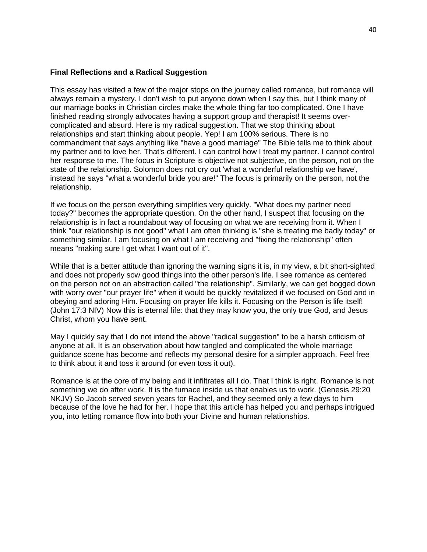#### **Final Reflections and a Radical Suggestion**

This essay has visited a few of the major stops on the journey called romance, but romance will always remain a mystery. I don't wish to put anyone down when I say this, but I think many of our marriage books in Christian circles make the whole thing far too complicated. One I have finished reading strongly advocates having a support group and therapist! It seems overcomplicated and absurd. Here is my radical suggestion. That we stop thinking about relationships and start thinking about people. Yep! I am 100% serious. There is no commandment that says anything like "have a good marriage" The Bible tells me to think about my partner and to love her. That's different. I can control how I treat my partner. I cannot control her response to me. The focus in Scripture is objective not subjective, on the person, not on the state of the relationship. Solomon does not cry out 'what a wonderful relationship we have', instead he says "what a wonderful bride you are!" The focus is primarily on the person, not the relationship.

If we focus on the person everything simplifies very quickly. "What does my partner need today?" becomes the appropriate question. On the other hand, I suspect that focusing on the relationship is in fact a roundabout way of focusing on what we are receiving from it. When I think "our relationship is not good" what I am often thinking is "she is treating me badly today" or something similar. I am focusing on what I am receiving and "fixing the relationship" often means "making sure I get what I want out of it".

While that is a better attitude than ignoring the warning signs it is, in my view, a bit short-sighted and does not properly sow good things into the other person's life. I see romance as centered on the person not on an abstraction called "the relationship". Similarly, we can get bogged down with worry over "our prayer life" when it would be quickly revitalized if we focused on God and in obeying and adoring Him. Focusing on prayer life kills it. Focusing on the Person is life itself! (John 17:3 NIV) Now this is eternal life: that they may know you, the only true God, and Jesus Christ, whom you have sent.

May I quickly say that I do not intend the above "radical suggestion" to be a harsh criticism of anyone at all. It is an observation about how tangled and complicated the whole marriage guidance scene has become and reflects my personal desire for a simpler approach. Feel free to think about it and toss it around (or even toss it out).

Romance is at the core of my being and it infiltrates all I do. That I think is right. Romance is not something we do after work. It is the furnace inside us that enables us to work. (Genesis 29:20 NKJV) So Jacob served seven years for Rachel, and they seemed only a few days to him because of the love he had for her. I hope that this article has helped you and perhaps intrigued you, into letting romance flow into both your Divine and human relationships.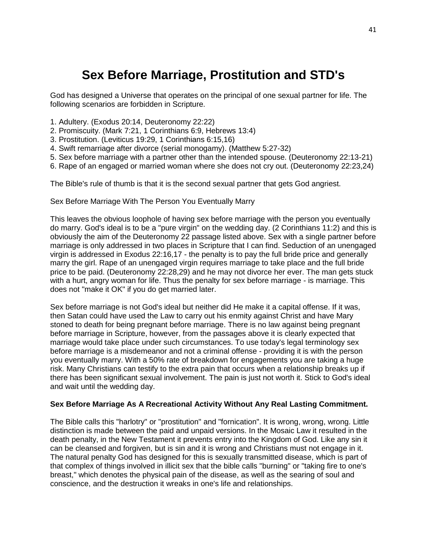# **Sex Before Marriage, Prostitution and STD's**

God has designed a Universe that operates on the principal of one sexual partner for life. The following scenarios are forbidden in Scripture.

- 1. Adultery. (Exodus 20:14, Deuteronomy 22:22)
- 2. Promiscuity. (Mark 7:21, 1 Corinthians 6:9, Hebrews 13:4)
- 3. Prostitution. (Leviticus 19:29, 1 Corinthians 6:15,16)
- 4. Swift remarriage after divorce (serial monogamy). (Matthew 5:27-32)
- 5. Sex before marriage with a partner other than the intended spouse. (Deuteronomy 22:13-21)
- 6. Rape of an engaged or married woman where she does not cry out. (Deuteronomy 22:23,24)

The Bible's rule of thumb is that it is the second sexual partner that gets God angriest.

Sex Before Marriage With The Person You Eventually Marry

This leaves the obvious loophole of having sex before marriage with the person you eventually do marry. God's ideal is to be a "pure virgin" on the wedding day. (2 Corinthians 11:2) and this is obviously the aim of the Deuteronomy 22 passage listed above. Sex with a single partner before marriage is only addressed in two places in Scripture that I can find. Seduction of an unengaged virgin is addressed in Exodus 22:16,17 - the penalty is to pay the full bride price and generally marry the girl. Rape of an unengaged virgin requires marriage to take place and the full bride price to be paid. (Deuteronomy 22:28,29) and he may not divorce her ever. The man gets stuck with a hurt, angry woman for life. Thus the penalty for sex before marriage - is marriage. This does not "make it OK" if you do get married later.

Sex before marriage is not God's ideal but neither did He make it a capital offense. If it was, then Satan could have used the Law to carry out his enmity against Christ and have Mary stoned to death for being pregnant before marriage. There is no law against being pregnant before marriage in Scripture, however, from the passages above it is clearly expected that marriage would take place under such circumstances. To use today's legal terminology sex before marriage is a misdemeanor and not a criminal offense - providing it is with the person you eventually marry. With a 50% rate of breakdown for engagements you are taking a huge risk. Many Christians can testify to the extra pain that occurs when a relationship breaks up if there has been significant sexual involvement. The pain is just not worth it. Stick to God's ideal and wait until the wedding day.

#### **Sex Before Marriage As A Recreational Activity Without Any Real Lasting Commitment.**

The Bible calls this "harlotry" or "prostitution" and "fornication". It is wrong, wrong, wrong. Little distinction is made between the paid and unpaid versions. In the Mosaic Law it resulted in the death penalty, in the New Testament it prevents entry into the Kingdom of God. Like any sin it can be cleansed and forgiven, but is sin and it is wrong and Christians must not engage in it. The natural penalty God has designed for this is sexually transmitted disease, which is part of that complex of things involved in illicit sex that the bible calls "burning" or "taking fire to one's breast," which denotes the physical pain of the disease, as well as the searing of soul and conscience, and the destruction it wreaks in one's life and relationships.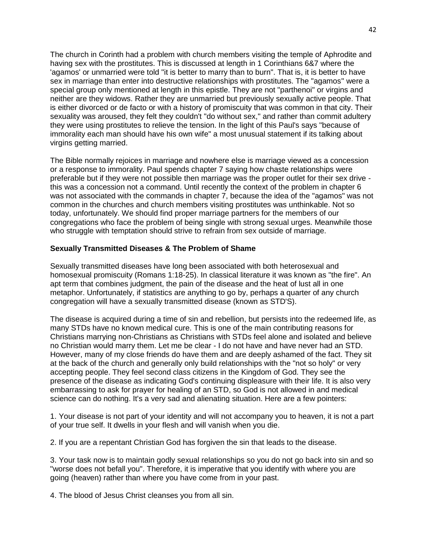The church in Corinth had a problem with church members visiting the temple of Aphrodite and having sex with the prostitutes. This is discussed at length in 1 Corinthians 6&7 where the 'agamos' or unmarried were told "it is better to marry than to burn". That is, it is better to have sex in marriage than enter into destructive relationships with prostitutes. The "agamos'' were a special group only mentioned at length in this epistle. They are not "parthenoi" or virgins and neither are they widows. Rather they are unmarried but previously sexually active people. That is either divorced or de facto or with a history of promiscuity that was common in that city. Their sexuality was aroused, they felt they couldn't "do without sex," and rather than commit adultery they were using prostitutes to relieve the tension. In the light of this Paul's says "because of immorality each man should have his own wife" a most unusual statement if its talking about virgins getting married.

The Bible normally rejoices in marriage and nowhere else is marriage viewed as a concession or a response to immorality. Paul spends chapter 7 saying how chaste relationships were preferable but if they were not possible then marriage was the proper outlet for their sex drive this was a concession not a command. Until recently the context of the problem in chapter 6 was not associated with the commands in chapter 7, because the idea of the "agamos" was not common in the churches and church members visiting prostitutes was unthinkable. Not so today, unfortunately. We should find proper marriage partners for the members of our congregations who face the problem of being single with strong sexual urges. Meanwhile those who struggle with temptation should strive to refrain from sex outside of marriage.

## **Sexually Transmitted Diseases & The Problem of Shame**

Sexually transmitted diseases have long been associated with both heterosexual and homosexual promiscuity (Romans 1:18-25). In classical literature it was known as "the fire". An apt term that combines judgment, the pain of the disease and the heat of lust all in one metaphor. Unfortunately, if statistics are anything to go by, perhaps a quarter of any church congregation will have a sexually transmitted disease (known as STD'S).

The disease is acquired during a time of sin and rebellion, but persists into the redeemed life, as many STDs have no known medical cure. This is one of the main contributing reasons for Christians marrying non-Christians as Christians with STDs feel alone and isolated and believe no Christian would marry them. Let me be clear - I do not have and have never had an STD. However, many of my close friends do have them and are deeply ashamed of the fact. They sit at the back of the church and generally only build relationships with the "not so holy" or very accepting people. They feel second class citizens in the Kingdom of God. They see the presence of the disease as indicating God's continuing displeasure with their life. It is also very embarrassing to ask for prayer for healing of an STD, so God is not allowed in and medical science can do nothing. It's a very sad and alienating situation. Here are a few pointers:

1. Your disease is not part of your identity and will not accompany you to heaven, it is not a part of your true self. It dwells in your flesh and will vanish when you die.

2. If you are a repentant Christian God has forgiven the sin that leads to the disease.

3. Your task now is to maintain godly sexual relationships so you do not go back into sin and so "worse does not befall you". Therefore, it is imperative that you identify with where you are going (heaven) rather than where you have come from in your past.

4. The blood of Jesus Christ cleanses you from all sin.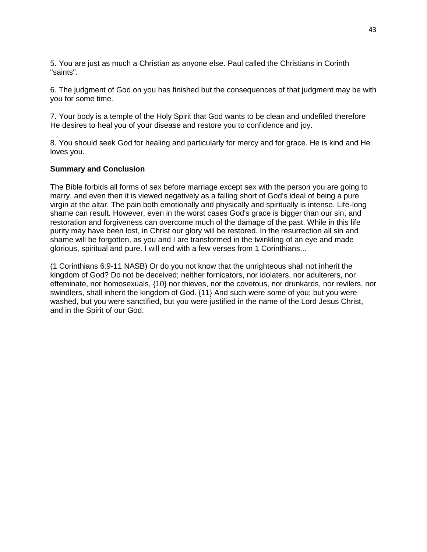5. You are just as much a Christian as anyone else. Paul called the Christians in Corinth "saints".

6. The judgment of God on you has finished but the consequences of that judgment may be with you for some time.

7. Your body is a temple of the Holy Spirit that God wants to be clean and undefiled therefore He desires to heal you of your disease and restore you to confidence and joy.

8. You should seek God for healing and particularly for mercy and for grace. He is kind and He loves you.

#### **Summary and Conclusion**

The Bible forbids all forms of sex before marriage except sex with the person you are going to marry, and even then it is viewed negatively as a falling short of God's ideal of being a pure virgin at the altar. The pain both emotionally and physically and spiritually is intense. Life-long shame can result. However, even in the worst cases God's grace is bigger than our sin, and restoration and forgiveness can overcome much of the damage of the past. While in this life purity may have been lost, in Christ our glory will be restored. In the resurrection all sin and shame will be forgotten, as you and I are transformed in the twinkling of an eye and made glorious, spiritual and pure. I will end with a few verses from 1 Corinthians...

(1 Corinthians 6:9-11 NASB) Or do you not know that the unrighteous shall not inherit the kingdom of God? Do not be deceived; neither fornicators, nor idolaters, nor adulterers, nor effeminate, nor homosexuals, {10} nor thieves, nor the covetous, nor drunkards, nor revilers, nor swindlers, shall inherit the kingdom of God. {11} And such were some of you; but you were washed, but you were sanctified, but you were justified in the name of the Lord Jesus Christ, and in the Spirit of our God.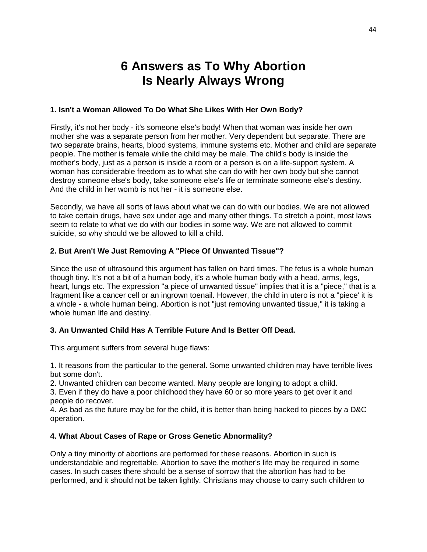# **6 Answers as To Why Abortion Is Nearly Always Wrong**

# **1. Isn't a Woman Allowed To Do What She Likes With Her Own Body?**

Firstly, it's not her body - it's someone else's body! When that woman was inside her own mother she was a separate person from her mother. Very dependent but separate. There are two separate brains, hearts, blood systems, immune systems etc. Mother and child are separate people. The mother is female while the child may be male. The child's body is inside the mother's body, just as a person is inside a room or a person is on a life-support system. A woman has considerable freedom as to what she can do with her own body but she cannot destroy someone else's body, take someone else's life or terminate someone else's destiny. And the child in her womb is not her - it is someone else.

Secondly, we have all sorts of laws about what we can do with our bodies. We are not allowed to take certain drugs, have sex under age and many other things. To stretch a point, most laws seem to relate to what we do with our bodies in some way. We are not allowed to commit suicide, so why should we be allowed to kill a child.

# **2. But Aren't We Just Removing A "Piece Of Unwanted Tissue"?**

Since the use of ultrasound this argument has fallen on hard times. The fetus is a whole human though tiny. It's not a bit of a human body, it's a whole human body with a head, arms, legs, heart, lungs etc. The expression "a piece of unwanted tissue" implies that it is a "piece," that is a fragment like a cancer cell or an ingrown toenail. However, the child in utero is not a "piece' it is a whole - a whole human being. Abortion is not "just removing unwanted tissue," it is taking a whole human life and destiny.

# **3. An Unwanted Child Has A Terrible Future And Is Better Off Dead.**

This argument suffers from several huge flaws:

1. It reasons from the particular to the general. Some unwanted children may have terrible lives but some don't.

2. Unwanted children can become wanted. Many people are longing to adopt a child.

3. Even if they do have a poor childhood they have 60 or so more years to get over it and people do recover.

4. As bad as the future may be for the child, it is better than being hacked to pieces by a D&C operation.

# **4. What About Cases of Rape or Gross Genetic Abnormality?**

Only a tiny minority of abortions are performed for these reasons. Abortion in such is understandable and regrettable. Abortion to save the mother's life may be required in some cases. In such cases there should be a sense of sorrow that the abortion has had to be performed, and it should not be taken lightly. Christians may choose to carry such children to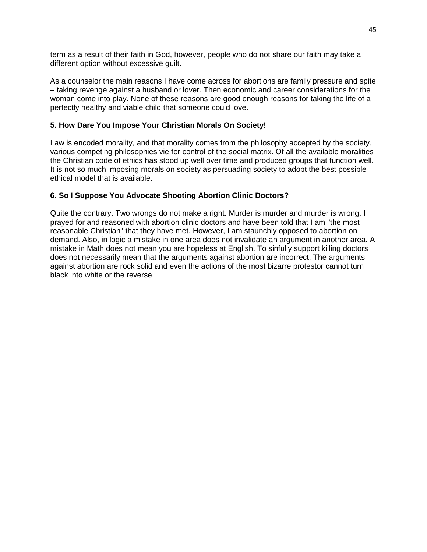term as a result of their faith in God, however, people who do not share our faith may take a different option without excessive guilt.

As a counselor the main reasons I have come across for abortions are family pressure and spite – taking revenge against a husband or lover. Then economic and career considerations for the woman come into play. None of these reasons are good enough reasons for taking the life of a perfectly healthy and viable child that someone could love.

# **5. How Dare You Impose Your Christian Morals On Society!**

Law is encoded morality, and that morality comes from the philosophy accepted by the society, various competing philosophies vie for control of the social matrix. Of all the available moralities the Christian code of ethics has stood up well over time and produced groups that function well. It is not so much imposing morals on society as persuading society to adopt the best possible ethical model that is available.

# **6. So I Suppose You Advocate Shooting Abortion Clinic Doctors?**

Quite the contrary. Two wrongs do not make a right. Murder is murder and murder is wrong. I prayed for and reasoned with abortion clinic doctors and have been told that I am "the most reasonable Christian" that they have met. However, I am staunchly opposed to abortion on demand. Also, in logic a mistake in one area does not invalidate an argument in another area. A mistake in Math does not mean you are hopeless at English. To sinfully support killing doctors does not necessarily mean that the arguments against abortion are incorrect. The arguments against abortion are rock solid and even the actions of the most bizarre protestor cannot turn black into white or the reverse.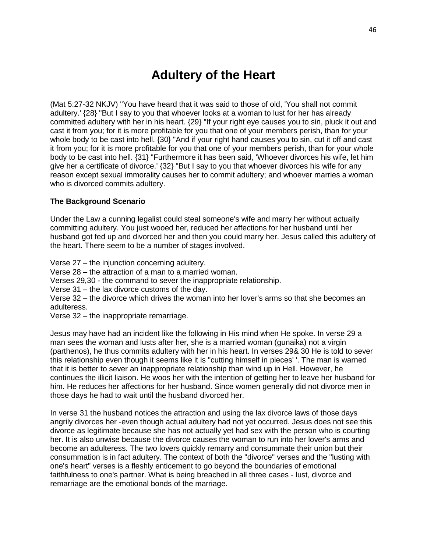# **Adultery of the Heart**

(Mat 5:27-32 NKJV) "You have heard that it was said to those of old, 'You shall not commit adultery.' {28} "But I say to you that whoever looks at a woman to lust for her has already committed adultery with her in his heart. {29} "If your right eye causes you to sin, pluck it out and cast it from you; for it is more profitable for you that one of your members perish, than for your whole body to be cast into hell. {30} "And if your right hand causes you to sin, cut it off and cast it from you; for it is more profitable for you that one of your members perish, than for your whole body to be cast into hell. {31} "Furthermore it has been said, 'Whoever divorces his wife, let him give her a certificate of divorce.' {32} "But I say to you that whoever divorces his wife for any reason except sexual immorality causes her to commit adultery; and whoever marries a woman who is divorced commits adultery.

## **The Background Scenario**

Under the Law a cunning legalist could steal someone's wife and marry her without actually committing adultery. You just wooed her, reduced her affections for her husband until her husband got fed up and divorced her and then you could marry her. Jesus called this adultery of the heart. There seem to be a number of stages involved.

Verse 27 – the injunction concerning adultery.

Verse 28 – the attraction of a man to a married woman.

Verses 29,30 - the command to sever the inappropriate relationship.

Verse 31 – the lax divorce customs of the day.

Verse 32 – the divorce which drives the woman into her lover's arms so that she becomes an adulteress.

Verse 32 – the inappropriate remarriage.

Jesus may have had an incident like the following in His mind when He spoke. In verse 29 a man sees the woman and lusts after her, she is a married woman (gunaika) not a virgin (parthenos), he thus commits adultery with her in his heart. In verses 29& 30 He is told to sever this relationship even though it seems like it is "cutting himself in pieces' '. The man is warned that it is better to sever an inappropriate relationship than wind up in Hell. However, he continues the illicit liaison. He woos her with the intention of getting her to leave her husband for him. He reduces her affections for her husband. Since women generally did not divorce men in those days he had to wait until the husband divorced her.

In verse 31 the husband notices the attraction and using the lax divorce laws of those days angrily divorces her -even though actual adultery had not yet occurred. Jesus does not see this divorce as legitimate because she has not actually yet had sex with the person who is courting her. It is also unwise because the divorce causes the woman to run into her lover's arms and become an adulteress. The two lovers quickly remarry and consummate their union but their consummation is in fact adultery. The context of both the "divorce" verses and the "lusting with one's heart" verses is a fleshly enticement to go beyond the boundaries of emotional faithfulness to one's partner. What is being breached in all three cases - lust, divorce and remarriage are the emotional bonds of the marriage.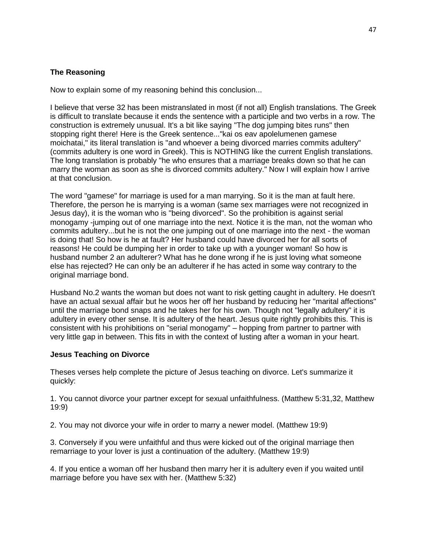# **The Reasoning**

Now to explain some of my reasoning behind this conclusion...

I believe that verse 32 has been mistranslated in most (if not all) English translations. The Greek is difficult to translate because it ends the sentence with a participle and two verbs in a row. The construction is extremely unusual. It's a bit like saying "The dog jumping bites runs" then stopping right there! Here is the Greek sentence..."kai os eav apolelumenen gamese moichatai," its literal translation is "and whoever a being divorced marries commits adultery" (commits adultery is one word in Greek). This is NOTHING like the current English translations. The long translation is probably "he who ensures that a marriage breaks down so that he can marry the woman as soon as she is divorced commits adultery." Now I will explain how I arrive at that conclusion.

The word "gamese" for marriage is used for a man marrying. So it is the man at fault here. Therefore, the person he is marrying is a woman (same sex marriages were not recognized in Jesus day), it is the woman who is "being divorced". So the prohibition is against serial monogamy -jumping out of one marriage into the next. Notice it is the man, not the woman who commits adultery...but he is not the one jumping out of one marriage into the next - the woman is doing that! So how is he at fault? Her husband could have divorced her for all sorts of reasons! He could be dumping her in order to take up with a younger woman! So how is husband number 2 an adulterer? What has he done wrong if he is just loving what someone else has rejected? He can only be an adulterer if he has acted in some way contrary to the original marriage bond.

Husband No.2 wants the woman but does not want to risk getting caught in adultery. He doesn't have an actual sexual affair but he woos her off her husband by reducing her "marital affections" until the marriage bond snaps and he takes her for his own. Though not "legally adultery" it is adultery in every other sense. It is adultery of the heart. Jesus quite rightly prohibits this. This is consistent with his prohibitions on "serial monogamy" – hopping from partner to partner with very little gap in between. This fits in with the context of lusting after a woman in your heart.

#### **Jesus Teaching on Divorce**

Theses verses help complete the picture of Jesus teaching on divorce. Let's summarize it quickly:

1. You cannot divorce your partner except for sexual unfaithfulness. (Matthew 5:31,32, Matthew 19:9)

2. You may not divorce your wife in order to marry a newer model. (Matthew 19:9)

3. Conversely if you were unfaithful and thus were kicked out of the original marriage then remarriage to your lover is just a continuation of the adultery. (Matthew 19:9)

4. If you entice a woman off her husband then marry her it is adultery even if you waited until marriage before you have sex with her. (Matthew 5:32)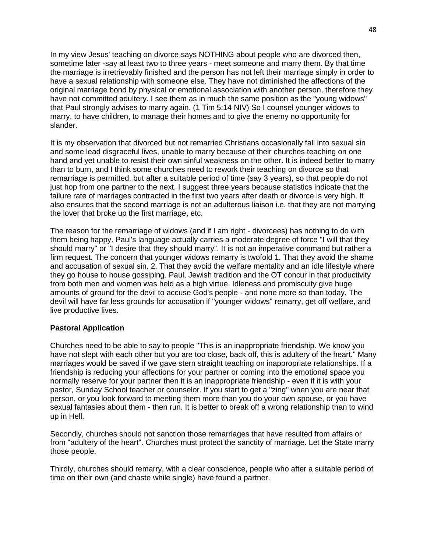In my view Jesus' teaching on divorce says NOTHING about people who are divorced then, sometime later -say at least two to three years - meet someone and marry them. By that time the marriage is irretrievably finished and the person has not left their marriage simply in order to have a sexual relationship with someone else. They have not diminished the affections of the original marriage bond by physical or emotional association with another person, therefore they have not committed adultery. I see them as in much the same position as the "young widows" that Paul strongly advises to marry again. (1 Tim 5:14 NIV) So I counsel younger widows to marry, to have children, to manage their homes and to give the enemy no opportunity for slander.

It is my observation that divorced but not remarried Christians occasionally fall into sexual sin and some lead disgraceful lives, unable to marry because of their churches teaching on one hand and yet unable to resist their own sinful weakness on the other. It is indeed better to marry than to burn, and I think some churches need to rework their teaching on divorce so that remarriage is permitted, but after a suitable period of time (say 3 years), so that people do not just hop from one partner to the next. I suggest three years because statistics indicate that the failure rate of marriages contracted in the first two years after death or divorce is very high. It also ensures that the second marriage is not an adulterous liaison i.e. that they are not marrying the lover that broke up the first marriage, etc.

The reason for the remarriage of widows (and if I am right - divorcees) has nothing to do with them being happy. Paul's language actually carries a moderate degree of force "I will that they should marry" or "I desire that they should marry". It is not an imperative command but rather a firm request. The concern that younger widows remarry is twofold 1. That they avoid the shame and accusation of sexual sin. 2. That they avoid the welfare mentality and an idle lifestyle where they go house to house gossiping. Paul, Jewish tradition and the OT concur in that productivity from both men and women was held as a high virtue. Idleness and promiscuity give huge amounts of ground for the devil to accuse God's people - and none more so than today. The devil will have far less grounds for accusation if "younger widows" remarry, get off welfare, and live productive lives.

# **Pastoral Application**

Churches need to be able to say to people "This is an inappropriate friendship. We know you have not slept with each other but you are too close, back off, this is adultery of the heart." Many marriages would be saved if we gave stern straight teaching on inappropriate relationships. If a friendship is reducing your affections for your partner or coming into the emotional space you normally reserve for your partner then it is an inappropriate friendship - even if it is with your pastor, Sunday School teacher or counselor. If you start to get a "zing" when you are near that person, or you look forward to meeting them more than you do your own spouse, or you have sexual fantasies about them - then run. It is better to break off a wrong relationship than to wind up in Hell.

Secondly, churches should not sanction those remarriages that have resulted from affairs or from "adultery of the heart". Churches must protect the sanctity of marriage. Let the State marry those people.

Thirdly, churches should remarry, with a clear conscience, people who after a suitable period of time on their own (and chaste while single) have found a partner.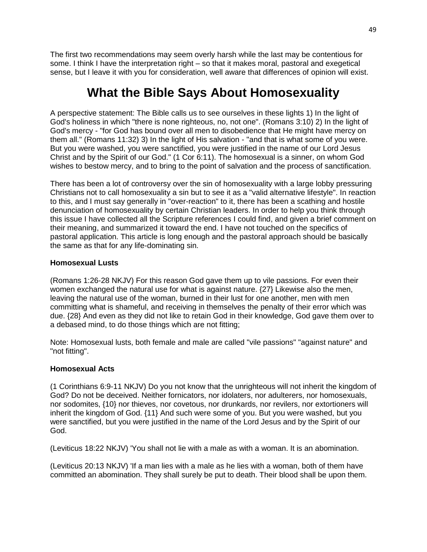The first two recommendations may seem overly harsh while the last may be contentious for some. I think I have the interpretation right – so that it makes moral, pastoral and exegetical sense, but I leave it with you for consideration, well aware that differences of opinion will exist.

# **What the Bible Says About Homosexuality**

A perspective statement: The Bible calls us to see ourselves in these lights 1) In the light of God's holiness in which "there is none righteous, no, not one". (Romans 3:10) 2) In the light of God's mercy - "for God has bound over all men to disobedience that He might have mercy on them all." (Romans 11:32) 3) In the light of His salvation - "and that is what some of you were. But you were washed, you were sanctified, you were justified in the name of our Lord Jesus Christ and by the Spirit of our God." (1 Cor 6:11). The homosexual is a sinner, on whom God wishes to bestow mercy, and to bring to the point of salvation and the process of sanctification.

There has been a lot of controversy over the sin of homosexuality with a large lobby pressuring Christians not to call homosexuality a sin but to see it as a "valid alternative lifestyle". In reaction to this, and I must say generally in "over-reaction" to it, there has been a scathing and hostile denunciation of homosexuality by certain Christian leaders. In order to help you think through this issue I have collected all the Scripture references I could find, and given a brief comment on their meaning, and summarized it toward the end. I have not touched on the specifics of pastoral application. This article is long enough and the pastoral approach should be basically the same as that for any life-dominating sin.

# **Homosexual Lusts**

(Romans 1:26-28 NKJV) For this reason God gave them up to vile passions. For even their women exchanged the natural use for what is against nature. {27} Likewise also the men, leaving the natural use of the woman, burned in their lust for one another, men with men committing what is shameful, and receiving in themselves the penalty of their error which was due. {28} And even as they did not like to retain God in their knowledge, God gave them over to a debased mind, to do those things which are not fitting;

Note: Homosexual lusts, both female and male are called "vile passions" "against nature" and "not fitting".

# **Homosexual Acts**

(1 Corinthians 6:9-11 NKJV) Do you not know that the unrighteous will not inherit the kingdom of God? Do not be deceived. Neither fornicators, nor idolaters, nor adulterers, nor homosexuals, nor sodomites, {10} nor thieves, nor covetous, nor drunkards, nor revilers, nor extortioners will inherit the kingdom of God. {11} And such were some of you. But you were washed, but you were sanctified, but you were justified in the name of the Lord Jesus and by the Spirit of our God.

(Leviticus 18:22 NKJV) 'You shall not lie with a male as with a woman. It is an abomination.

(Leviticus 20:13 NKJV) 'If a man lies with a male as he lies with a woman, both of them have committed an abomination. They shall surely be put to death. Their blood shall be upon them.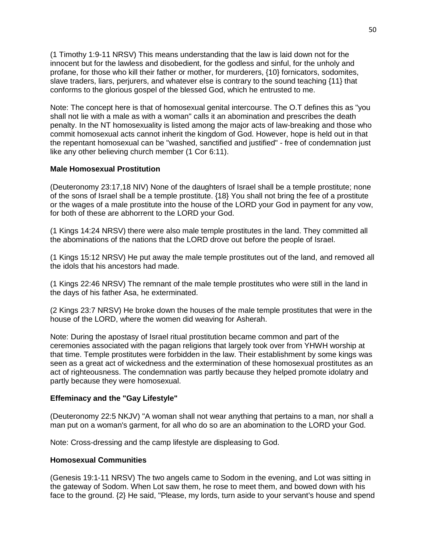(1 Timothy 1:9-11 NRSV) This means understanding that the law is laid down not for the innocent but for the lawless and disobedient, for the godless and sinful, for the unholy and profane, for those who kill their father or mother, for murderers, {10} fornicators, sodomites, slave traders, liars, perjurers, and whatever else is contrary to the sound teaching {11} that conforms to the glorious gospel of the blessed God, which he entrusted to me.

Note: The concept here is that of homosexual genital intercourse. The O.T defines this as "you shall not lie with a male as with a woman" calls it an abomination and prescribes the death penalty. In the NT homosexuality is listed among the major acts of law-breaking and those who commit homosexual acts cannot inherit the kingdom of God. However, hope is held out in that the repentant homosexual can be "washed, sanctified and justified" - free of condemnation just like any other believing church member (1 Cor 6:11).

## **Male Homosexual Prostitution**

(Deuteronomy 23:17,18 NIV) None of the daughters of Israel shall be a temple prostitute; none of the sons of Israel shall be a temple prostitute. {18} You shall not bring the fee of a prostitute or the wages of a male prostitute into the house of the LORD your God in payment for any vow, for both of these are abhorrent to the LORD your God.

(1 Kings 14:24 NRSV) there were also male temple prostitutes in the land. They committed all the abominations of the nations that the LORD drove out before the people of Israel.

(1 Kings 15:12 NRSV) He put away the male temple prostitutes out of the land, and removed all the idols that his ancestors had made.

(1 Kings 22:46 NRSV) The remnant of the male temple prostitutes who were still in the land in the days of his father Asa, he exterminated.

(2 Kings 23:7 NRSV) He broke down the houses of the male temple prostitutes that were in the house of the LORD, where the women did weaving for Asherah.

Note: During the apostasy of Israel ritual prostitution became common and part of the ceremonies associated with the pagan religions that largely took over from YHWH worship at that time. Temple prostitutes were forbidden in the law. Their establishment by some kings was seen as a great act of wickedness and the extermination of these homosexual prostitutes as an act of righteousness. The condemnation was partly because they helped promote idolatry and partly because they were homosexual.

#### **Effeminacy and the "Gay Lifestyle"**

(Deuteronomy 22:5 NKJV) "A woman shall not wear anything that pertains to a man, nor shall a man put on a woman's garment, for all who do so are an abomination to the LORD your God.

Note: Cross-dressing and the camp lifestyle are displeasing to God.

# **Homosexual Communities**

(Genesis 19:1-11 NRSV) The two angels came to Sodom in the evening, and Lot was sitting in the gateway of Sodom. When Lot saw them, he rose to meet them, and bowed down with his face to the ground. {2} He said, "Please, my lords, turn aside to your servant's house and spend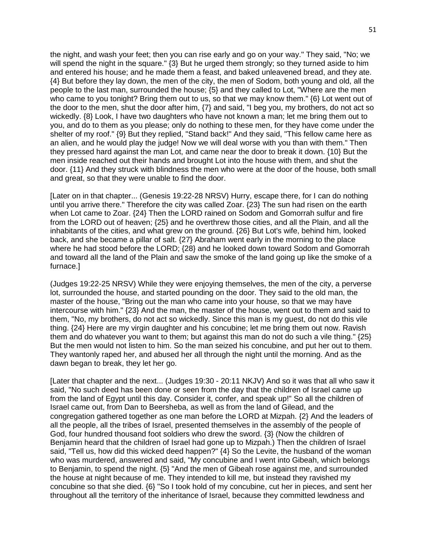the night, and wash your feet; then you can rise early and go on your way." They said, "No; we will spend the night in the square."  $\{3\}$  But he urged them strongly; so they turned aside to him and entered his house; and he made them a feast, and baked unleavened bread, and they ate. {4} But before they lay down, the men of the city, the men of Sodom, both young and old, all the people to the last man, surrounded the house; {5} and they called to Lot, "Where are the men who came to you tonight? Bring them out to us, so that we may know them."  $\{6\}$  Lot went out of the door to the men, shut the door after him, {7} and said, "I beg you, my brothers, do not act so wickedly. {8} Look, I have two daughters who have not known a man; let me bring them out to you, and do to them as you please; only do nothing to these men, for they have come under the shelter of my roof." {9} But they replied, "Stand back!" And they said, "This fellow came here as an alien, and he would play the judge! Now we will deal worse with you than with them." Then they pressed hard against the man Lot, and came near the door to break it down. {10} But the men inside reached out their hands and brought Lot into the house with them, and shut the door. {11} And they struck with blindness the men who were at the door of the house, both small and great, so that they were unable to find the door.

[Later on in that chapter... (Genesis 19:22-28 NRSV) Hurry, escape there, for I can do nothing until you arrive there." Therefore the city was called Zoar. {23} The sun had risen on the earth when Lot came to Zoar. {24} Then the LORD rained on Sodom and Gomorrah sulfur and fire from the LORD out of heaven; {25} and he overthrew those cities, and all the Plain, and all the inhabitants of the cities, and what grew on the ground. {26} But Lot's wife, behind him, looked back, and she became a pillar of salt. {27} Abraham went early in the morning to the place where he had stood before the LORD; {28} and he looked down toward Sodom and Gomorrah and toward all the land of the Plain and saw the smoke of the land going up like the smoke of a furnace.]

(Judges 19:22-25 NRSV) While they were enjoying themselves, the men of the city, a perverse lot, surrounded the house, and started pounding on the door. They said to the old man, the master of the house, "Bring out the man who came into your house, so that we may have intercourse with him." {23} And the man, the master of the house, went out to them and said to them, "No, my brothers, do not act so wickedly. Since this man is my guest, do not do this vile thing. {24} Here are my virgin daughter and his concubine; let me bring them out now. Ravish them and do whatever you want to them; but against this man do not do such a vile thing." {25} But the men would not listen to him. So the man seized his concubine, and put her out to them. They wantonly raped her, and abused her all through the night until the morning. And as the dawn began to break, they let her go.

[Later that chapter and the next... (Judges 19:30 - 20:11 NKJV) And so it was that all who saw it said, "No such deed has been done or seen from the day that the children of Israel came up from the land of Egypt until this day. Consider it, confer, and speak up!" So all the children of Israel came out, from Dan to Beersheba, as well as from the land of Gilead, and the congregation gathered together as one man before the LORD at Mizpah. {2} And the leaders of all the people, all the tribes of Israel, presented themselves in the assembly of the people of God, four hundred thousand foot soldiers who drew the sword. {3} (Now the children of Benjamin heard that the children of Israel had gone up to Mizpah.) Then the children of Israel said, "Tell us, how did this wicked deed happen?" {4} So the Levite, the husband of the woman who was murdered, answered and said, "My concubine and I went into Gibeah, which belongs to Benjamin, to spend the night. {5} "And the men of Gibeah rose against me, and surrounded the house at night because of me. They intended to kill me, but instead they ravished my concubine so that she died. {6} "So I took hold of my concubine, cut her in pieces, and sent her throughout all the territory of the inheritance of Israel, because they committed lewdness and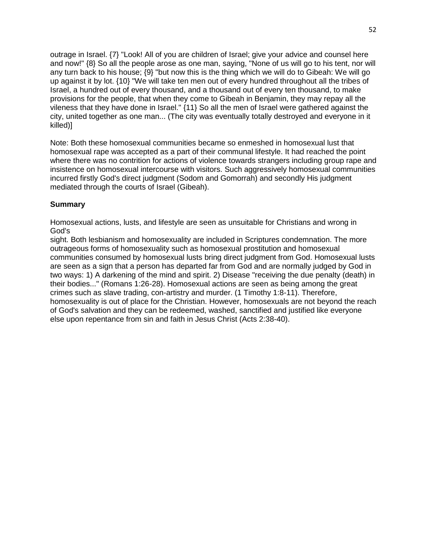outrage in Israel. {7} "Look! All of you are children of Israel; give your advice and counsel here and now!" {8} So all the people arose as one man, saying, "None of us will go to his tent, nor will any turn back to his house; {9} "but now this is the thing which we will do to Gibeah: We will go up against it by lot. {10} "We will take ten men out of every hundred throughout all the tribes of Israel, a hundred out of every thousand, and a thousand out of every ten thousand, to make provisions for the people, that when they come to Gibeah in Benjamin, they may repay all the vileness that they have done in Israel." {11} So all the men of Israel were gathered against the city, united together as one man... (The city was eventually totally destroyed and everyone in it killed)]

Note: Both these homosexual communities became so enmeshed in homosexual lust that homosexual rape was accepted as a part of their communal lifestyle. It had reached the point where there was no contrition for actions of violence towards strangers including group rape and insistence on homosexual intercourse with visitors. Such aggressively homosexual communities incurred firstly God's direct judgment (Sodom and Gomorrah) and secondly His judgment mediated through the courts of Israel (Gibeah).

# **Summary**

Homosexual actions, lusts, and lifestyle are seen as unsuitable for Christians and wrong in God's

sight. Both lesbianism and homosexuality are included in Scriptures condemnation. The more outrageous forms of homosexuality such as homosexual prostitution and homosexual communities consumed by homosexual lusts bring direct judgment from God. Homosexual lusts are seen as a sign that a person has departed far from God and are normally judged by God in two ways: 1) A darkening of the mind and spirit. 2) Disease "receiving the due penalty (death) in their bodies..." (Romans 1:26-28). Homosexual actions are seen as being among the great crimes such as slave trading, con-artistry and murder. (1 Timothy 1:8-11). Therefore, homosexuality is out of place for the Christian. However, homosexuals are not beyond the reach of God's salvation and they can be redeemed, washed, sanctified and justified like everyone else upon repentance from sin and faith in Jesus Christ (Acts 2:38-40).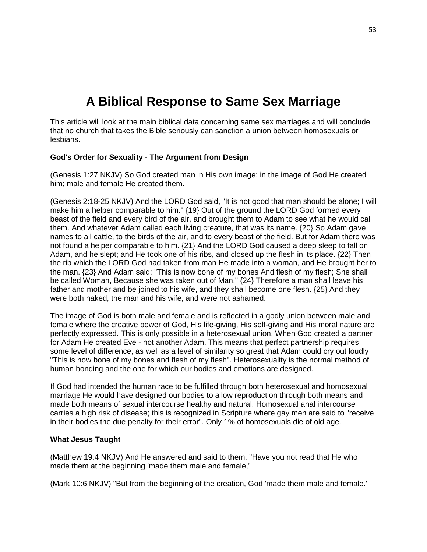# **A Biblical Response to Same Sex Marriage**

This article will look at the main biblical data concerning same sex marriages and will conclude that no church that takes the Bible seriously can sanction a union between homosexuals or lesbians.

## **God's Order for Sexuality - The Argument from Design**

(Genesis 1:27 NKJV) So God created man in His own image; in the image of God He created him; male and female He created them.

(Genesis 2:18-25 NKJV) And the LORD God said, "It is not good that man should be alone; I will make him a helper comparable to him." {19} Out of the ground the LORD God formed every beast of the field and every bird of the air, and brought them to Adam to see what he would call them. And whatever Adam called each living creature, that was its name. {20} So Adam gave names to all cattle, to the birds of the air, and to every beast of the field. But for Adam there was not found a helper comparable to him. {21} And the LORD God caused a deep sleep to fall on Adam, and he slept; and He took one of his ribs, and closed up the flesh in its place. {22} Then the rib which the LORD God had taken from man He made into a woman, and He brought her to the man. {23} And Adam said: "This is now bone of my bones And flesh of my flesh; She shall be called Woman, Because she was taken out of Man." {24} Therefore a man shall leave his father and mother and be joined to his wife, and they shall become one flesh. {25} And they were both naked, the man and his wife, and were not ashamed.

The image of God is both male and female and is reflected in a godly union between male and female where the creative power of God, His life-giving, His self-giving and His moral nature are perfectly expressed. This is only possible in a heterosexual union. When God created a partner for Adam He created Eve - not another Adam. This means that perfect partnership requires some level of difference, as well as a level of similarity so great that Adam could cry out loudly "This is now bone of my bones and flesh of my flesh". Heterosexuality is the normal method of human bonding and the one for which our bodies and emotions are designed.

If God had intended the human race to be fulfilled through both heterosexual and homosexual marriage He would have designed our bodies to allow reproduction through both means and made both means of sexual intercourse healthy and natural. Homosexual anal intercourse carries a high risk of disease; this is recognized in Scripture where gay men are said to "receive in their bodies the due penalty for their error". Only 1% of homosexuals die of old age.

#### **What Jesus Taught**

(Matthew 19:4 NKJV) And He answered and said to them, "Have you not read that He who made them at the beginning 'made them male and female,'

(Mark 10:6 NKJV) "But from the beginning of the creation, God 'made them male and female.'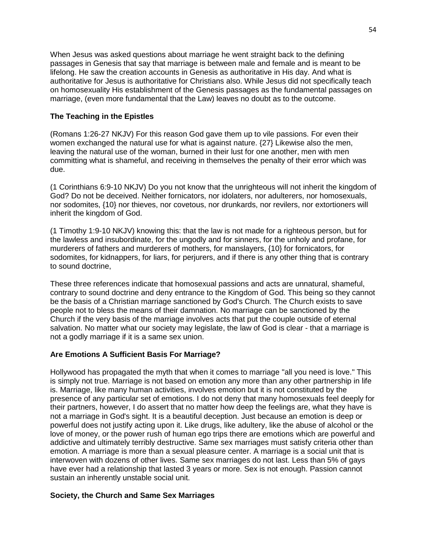When Jesus was asked questions about marriage he went straight back to the defining passages in Genesis that say that marriage is between male and female and is meant to be lifelong. He saw the creation accounts in Genesis as authoritative in His day. And what is authoritative for Jesus is authoritative for Christians also. While Jesus did not specifically teach on homosexuality His establishment of the Genesis passages as the fundamental passages on marriage, (even more fundamental that the Law) leaves no doubt as to the outcome.

# **The Teaching in the Epistles**

(Romans 1:26-27 NKJV) For this reason God gave them up to vile passions. For even their women exchanged the natural use for what is against nature. {27} Likewise also the men, leaving the natural use of the woman, burned in their lust for one another, men with men committing what is shameful, and receiving in themselves the penalty of their error which was due.

(1 Corinthians 6:9-10 NKJV) Do you not know that the unrighteous will not inherit the kingdom of God? Do not be deceived. Neither fornicators, nor idolaters, nor adulterers, nor homosexuals, nor sodomites, {10} nor thieves, nor covetous, nor drunkards, nor revilers, nor extortioners will inherit the kingdom of God.

(1 Timothy 1:9-10 NKJV) knowing this: that the law is not made for a righteous person, but for the lawless and insubordinate, for the ungodly and for sinners, for the unholy and profane, for murderers of fathers and murderers of mothers, for manslayers, {10} for fornicators, for sodomites, for kidnappers, for liars, for perjurers, and if there is any other thing that is contrary to sound doctrine,

These three references indicate that homosexual passions and acts are unnatural, shameful, contrary to sound doctrine and deny entrance to the Kingdom of God. This being so they cannot be the basis of a Christian marriage sanctioned by God's Church. The Church exists to save people not to bless the means of their damnation. No marriage can be sanctioned by the Church if the very basis of the marriage involves acts that put the couple outside of eternal salvation. No matter what our society may legislate, the law of God is clear - that a marriage is not a godly marriage if it is a same sex union.

# **Are Emotions A Sufficient Basis For Marriage?**

Hollywood has propagated the myth that when it comes to marriage "all you need is love." This is simply not true. Marriage is not based on emotion any more than any other partnership in life is. Marriage, like many human activities, involves emotion but it is not constituted by the presence of any particular set of emotions. I do not deny that many homosexuals feel deeply for their partners, however, I do assert that no matter how deep the feelings are, what they have is not a marriage in God's sight. It is a beautiful deception. Just because an emotion is deep or powerful does not justify acting upon it. Like drugs, like adultery, like the abuse of alcohol or the love of money, or the power rush of human ego trips there are emotions which are powerful and addictive and ultimately terribly destructive. Same sex marriages must satisfy criteria other than emotion. A marriage is more than a sexual pleasure center. A marriage is a social unit that is interwoven with dozens of other lives. Same sex marriages do not last. Less than 5% of gays have ever had a relationship that lasted 3 years or more. Sex is not enough. Passion cannot sustain an inherently unstable social unit.

#### **Society, the Church and Same Sex Marriages**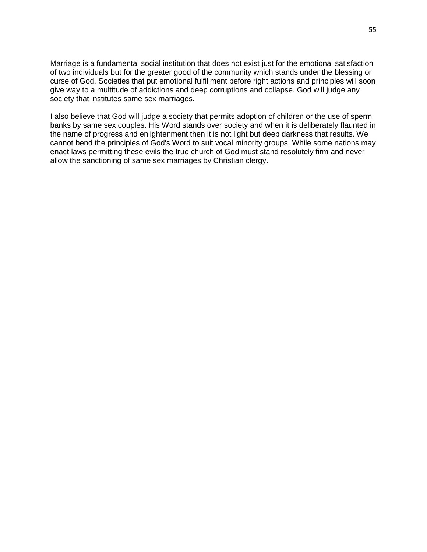Marriage is a fundamental social institution that does not exist just for the emotional satisfaction of two individuals but for the greater good of the community which stands under the blessing or curse of God. Societies that put emotional fulfillment before right actions and principles will soon give way to a multitude of addictions and deep corruptions and collapse. God will judge any society that institutes same sex marriages.

I also believe that God will judge a society that permits adoption of children or the use of sperm banks by same sex couples. His Word stands over society and when it is deliberately flaunted in the name of progress and enlightenment then it is not light but deep darkness that results. We cannot bend the principles of God's Word to suit vocal minority groups. While some nations may enact laws permitting these evils the true church of God must stand resolutely firm and never allow the sanctioning of same sex marriages by Christian clergy.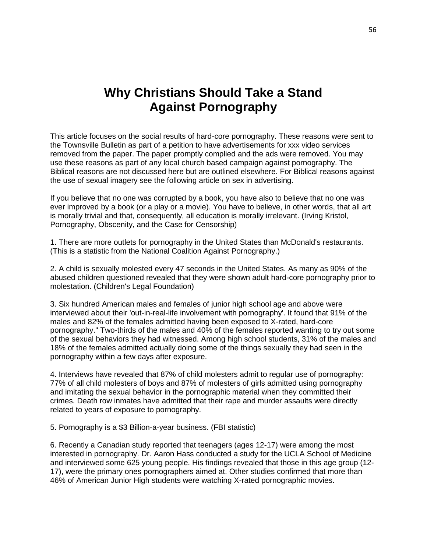# **Why Christians Should Take a Stand Against Pornography**

This article focuses on the social results of hard-core pornography. These reasons were sent to the Townsville Bulletin as part of a petition to have advertisements for xxx video services removed from the paper. The paper promptly complied and the ads were removed. You may use these reasons as part of any local church based campaign against pornography. The Biblical reasons are not discussed here but are outlined elsewhere. For Biblical reasons against the use of sexual imagery see the following article on sex in advertising.

If you believe that no one was corrupted by a book, you have also to believe that no one was ever improved by a book (or a play or a movie). You have to believe, in other words, that all art is morally trivial and that, consequently, all education is morally irrelevant. (Irving Kristol, Pornography, Obscenity, and the Case for Censorship)

1. There are more outlets for pornography in the United States than McDonald's restaurants. (This is a statistic from the National Coalition Against Pornography.)

2. A child is sexually molested every 47 seconds in the United States. As many as 90% of the abused children questioned revealed that they were shown adult hard-core pornography prior to molestation. (Children's Legal Foundation)

3. Six hundred American males and females of junior high school age and above were interviewed about their 'out-in-real-life involvement with pornography'. It found that 91% of the males and 82% of the females admitted having been exposed to X-rated, hard-core pornography." Two-thirds of the males and 40% of the females reported wanting to try out some of the sexual behaviors they had witnessed. Among high school students, 31% of the males and 18% of the females admitted actually doing some of the things sexually they had seen in the pornography within a few days after exposure.

4. Interviews have revealed that 87% of child molesters admit to regular use of pornography: 77% of all child molesters of boys and 87% of molesters of girls admitted using pornography and imitating the sexual behavior in the pornographic material when they committed their crimes. Death row inmates have admitted that their rape and murder assaults were directly related to years of exposure to pornography.

5. Pornography is a \$3 Billion-a-year business. (FBI statistic)

6. Recently a Canadian study reported that teenagers (ages 12-17) were among the most interested in pornography. Dr. Aaron Hass conducted a study for the UCLA School of Medicine and interviewed some 625 young people. His findings revealed that those in this age group (12- 17), were the primary ones pornographers aimed at. Other studies confirmed that more than 46% of American Junior High students were watching X-rated pornographic movies.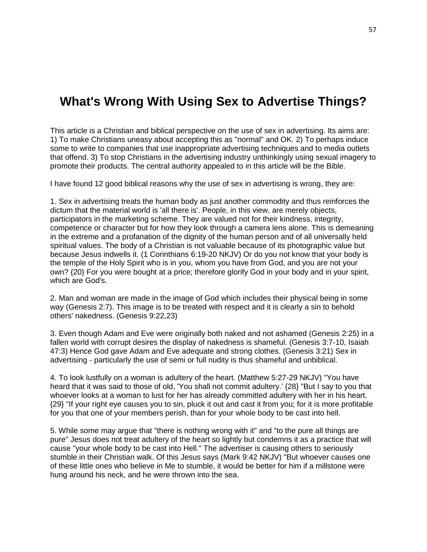# **What's Wrong With Using Sex to Advertise Things?**

This article is a Christian and biblical perspective on the use of sex in advertising. Its aims are: 1) To make Christians uneasy about accepting this as "normal" and OK. 2) To perhaps induce some to write to companies that use inappropriate advertising techniques and to media outlets that offend. 3) To stop Christians in the advertising industry unthinkingly using sexual imagery to promote their products. The central authority appealed to in this article will be the Bible.

I have found 12 good biblical reasons why the use of sex in advertising is wrong, they are:

1. Sex in advertising treats the human body as just another commodity and thus reinforces the dictum that the material world is 'all there is'. People, in this view, are merely objects, participators in the marketing scheme. They are valued not for their kindness, integrity, competence or character but for how they look through a camera lens alone. This is demeaning in the extreme and a profanation of the dignity of the human person and of all universally held spiritual values. The body of a Christian is not valuable because of its photographic value but because Jesus indwells it. (1 Corinthians 6:19-20 NKJV) Or do you not know that your body is the temple of the Holy Spirit who is in you, whom you have from God, and you are not your own? {20} For you were bought at a price; therefore glorify God in your body and in your spirit, which are God's.

2. Man and woman are made in the image of God which includes their physical being in some way (Genesis 2:7). This image is to be treated with respect and it is clearly a sin to behold others' nakedness. (Genesis 9:22,23)

3. Even though Adam and Eve were originally both naked and not ashamed (Genesis 2:25) in a fallen world with corrupt desires the display of nakedness is shameful. (Genesis 3:7-10, Isaiah 47:3) Hence God gave Adam and Eve adequate and strong clothes. (Genesis 3:21) Sex in advertising - particularly the use of semi or full nudity is thus shameful and unbiblical.

4. To look lustfully on a woman is adultery of the heart. (Matthew 5:27-29 NKJV) "You have heard that it was said to those of old, 'You shall not commit adultery.' {28} "But I say to you that whoever looks at a woman to lust for her has already committed adultery with her in his heart. {29} "If your right eye causes you to sin, pluck it out and cast it from you; for it is more profitable for you that one of your members perish, than for your whole body to be cast into hell.

5. While some may argue that "there is nothing wrong with it" and "to the pure all things are pure" Jesus does not treat adultery of the heart so lightly but condemns it as a practice that will cause "your whole body to be cast into Hell." The advertiser is causing others to seriously stumble in their Christian walk. Of this Jesus says (Mark 9:42 NKJV) "But whoever causes one of these little ones who believe in Me to stumble, it would be better for him if a millstone were hung around his neck, and he were thrown into the sea.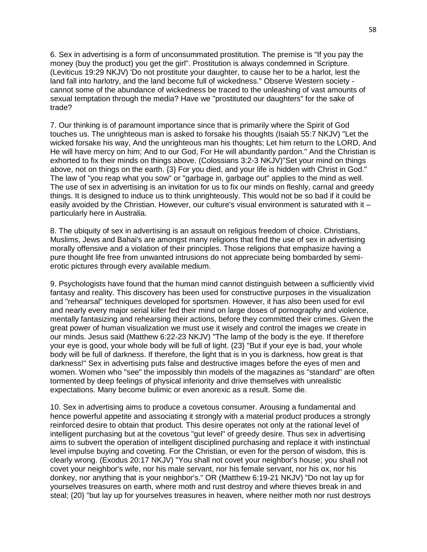6. Sex in advertising is a form of unconsummated prostitution. The premise is "If you pay the money (buy the product) you get the girl". Prostitution is always condemned in Scripture. (Leviticus 19:29 NKJV) 'Do not prostitute your daughter, to cause her to be a harlot, lest the land fall into harlotry, and the land become full of wickedness." Observe Western society cannot some of the abundance of wickedness be traced to the unleashing of vast amounts of sexual temptation through the media? Have we "prostituted our daughters" for the sake of trade?

7. Our thinking is of paramount importance since that is primarily where the Spirit of God touches us. The unrighteous man is asked to forsake his thoughts (Isaiah 55:7 NKJV) "Let the wicked forsake his way, And the unrighteous man his thoughts; Let him return to the LORD, And He will have mercy on him; And to our God, For He will abundantly pardon." And the Christian is exhorted to fix their minds on things above. (Colossians 3:2-3 NKJV)"Set your mind on things above, not on things on the earth. {3} For you died, and your life is hidden with Christ in God." The law of "you reap what you sow" or "garbage in, garbage out" applies to the mind as well. The use of sex in advertising is an invitation for us to fix our minds on fleshly, carnal and greedy things. It is designed to induce us to think unrighteously. This would not be so bad if it could be easily avoided by the Christian. However, our culture's visual environment is saturated with it – particularly here in Australia.

8. The ubiquity of sex in advertising is an assault on religious freedom of choice. Christians, Muslims, Jews and Bahai's are amongst many religions that find the use of sex in advertising morally offensive and a violation of their principles. Those religions that emphasize having a pure thought life free from unwanted intrusions do not appreciate being bombarded by semierotic pictures through every available medium.

9. Psychologists have found that the human mind cannot distinguish between a sufficiently vivid fantasy and reality. This discovery has been used for constructive purposes in the visualization and "rehearsal" techniques developed for sportsmen. However, it has also been used for evil and nearly every major serial killer fed their mind on large doses of pornography and violence, mentally fantasizing and rehearsing their actions, before they committed their crimes. Given the great power of human visualization we must use it wisely and control the images we create in our minds. Jesus said (Matthew 6:22-23 NKJV) "The lamp of the body is the eye. If therefore your eye is good, your whole body will be full of light. {23} "But if your eye is bad, your whole body will be full of darkness. If therefore, the light that is in you is darkness, how great is that darkness!" Sex in advertising puts false and destructive images before the eyes of men and women. Women who "see" the impossibly thin models of the magazines as "standard" are often tormented by deep feelings of physical inferiority and drive themselves with unrealistic expectations. Many become bulimic or even anorexic as a result. Some die.

10. Sex in advertising aims to produce a covetous consumer. Arousing a fundamental and hence powerful appetite and associating it strongly with a material product produces a strongly reinforced desire to obtain that product. This desire operates not only at the rational level of intelligent purchasing but at the covetous "gut level" of greedy desire. Thus sex in advertising aims to subvert the operation of intelligent disciplined purchasing and replace it with instinctual level impulse buying and coveting. For the Christian, or even for the person of wisdom, this is clearly wrong. (Exodus 20:17 NKJV) "You shall not covet your neighbor's house; you shall not covet your neighbor's wife, nor his male servant, nor his female servant, nor his ox, nor his donkey, nor anything that is your neighbor's." OR (Matthew 6:19-21 NKJV) "Do not lay up for yourselves treasures on earth, where moth and rust destroy and where thieves break in and steal; {20} "but lay up for yourselves treasures in heaven, where neither moth nor rust destroys